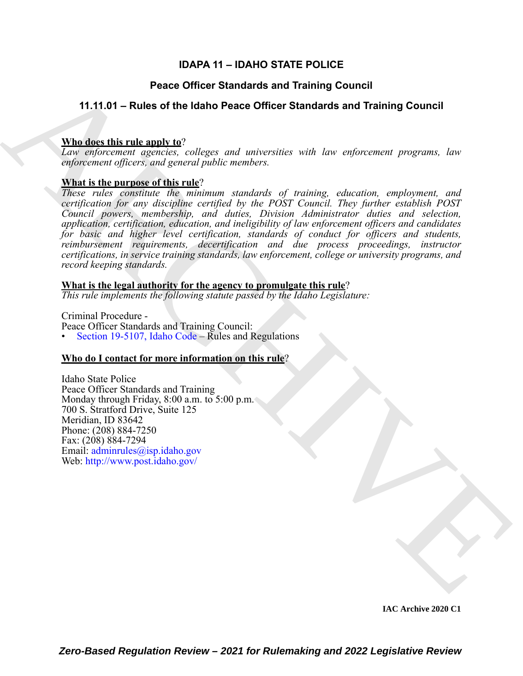# **IDAPA 11 – IDAHO STATE POLICE**

# **Peace Officer Standards and Training Council**

# **11.11.01 – Rules of the Idaho Peace Officer Standards and Training Council**

### **Who does this rule apply to**?

*Law enforcement agencies, colleges and universities with law enforcement programs, law enforcement officers, and general public members.* 

### **What is the purpose of this rule**?

**Peace Officer Standards and Training [C](https://legislature.idaho.gov/statutesrules/idstat/Title19/T19CH51/SECT19-5107/)ouncil**<br> **11.11.01 – Rules of the [I](mailto: adminrules@isp.idaho.gov)daho Peace Officer Standards and Training Council**<br> **Maddent this region to the standard space of the collection and originary and originary with l** *These rules constitute the minimum standards of training, education, employment, and certification for any discipline certified by the POST Council. They further establish POST Council powers, membership, and duties, Division Administrator duties and selection, application, certification, education, and ineligibility of law enforcement officers and candidates for basic and higher level certification, standards of conduct for officers and students, reimbursement requirements, decertification and due process proceedings, instructor certifications, in service training standards, law enforcement, college or university programs, and record keeping standards.*

### **What is the legal authority for the agency to promulgate this rule**?

*This rule implements the following statute passed by the Idaho Legislature:*

Criminal Procedure - Peace Officer Standards and Training Council: • Section 19-5107, Idaho Code – Rules and Regulations

# **Who do I contact for more information on this rule**?

Idaho State Police Peace Officer Standards and Training Monday through Friday, 8:00 a.m. to 5:00 p.m. 700 S. Stratford Drive, Suite 125 Meridian, ID 83642 Phone: (208) 884-7250 Fax: (208) 884-7294 Email: adminrules@isp.idaho.gov Web: http://www.post.idaho.gov/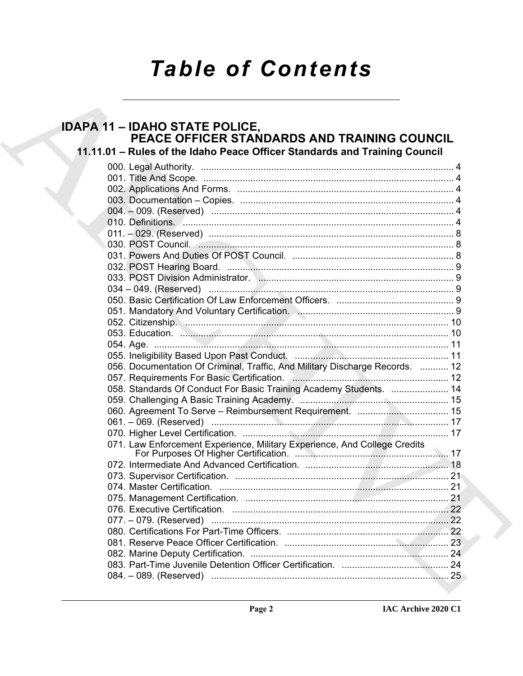# *Table of Contents*

# **IDAPA 11 – IDAHO STATE POLICE, PEACE OFFICER STANDARDS AND TRAINING COUNCIL 11.11.01 – Rules of the Idaho Peace Officer Standards and Training Council**

| <b>IDAPA 11 - IDAHO STATE POLICE,</b>                                                                                                                                                                                                |  |
|--------------------------------------------------------------------------------------------------------------------------------------------------------------------------------------------------------------------------------------|--|
| <b>PEACE OFFICER STANDARDS AND TRAINING COUNCIL</b>                                                                                                                                                                                  |  |
| 11.11.01 - Rules of the Idaho Peace Officer Standards and Training Council                                                                                                                                                           |  |
|                                                                                                                                                                                                                                      |  |
|                                                                                                                                                                                                                                      |  |
|                                                                                                                                                                                                                                      |  |
|                                                                                                                                                                                                                                      |  |
|                                                                                                                                                                                                                                      |  |
| 010. Definitions. <u>All manual control and the control of the control of the control of the control of the control of the control of the control of the control of the control of the control of the control of the control of </u> |  |
|                                                                                                                                                                                                                                      |  |
|                                                                                                                                                                                                                                      |  |
|                                                                                                                                                                                                                                      |  |
|                                                                                                                                                                                                                                      |  |
|                                                                                                                                                                                                                                      |  |
|                                                                                                                                                                                                                                      |  |
|                                                                                                                                                                                                                                      |  |
|                                                                                                                                                                                                                                      |  |
|                                                                                                                                                                                                                                      |  |
| 053. Education. 2006. 2007. 2008. 2009. 2010. 2010. 2010. 2010. 2010. 2010. 2010. 2010. 2010. 2010. 2010. 2010                                                                                                                       |  |
|                                                                                                                                                                                                                                      |  |
|                                                                                                                                                                                                                                      |  |
| 056. Documentation Of Criminal, Traffic, And Military Discharge Records.  12                                                                                                                                                         |  |
|                                                                                                                                                                                                                                      |  |
| 058. Standards Of Conduct For Basic Training Academy Students.  14                                                                                                                                                                   |  |
|                                                                                                                                                                                                                                      |  |
|                                                                                                                                                                                                                                      |  |
|                                                                                                                                                                                                                                      |  |
|                                                                                                                                                                                                                                      |  |
| 071. Law Enforcement Experience, Military Experience, And College Credits                                                                                                                                                            |  |
|                                                                                                                                                                                                                                      |  |
|                                                                                                                                                                                                                                      |  |
|                                                                                                                                                                                                                                      |  |
|                                                                                                                                                                                                                                      |  |
|                                                                                                                                                                                                                                      |  |
|                                                                                                                                                                                                                                      |  |
|                                                                                                                                                                                                                                      |  |
|                                                                                                                                                                                                                                      |  |
|                                                                                                                                                                                                                                      |  |
|                                                                                                                                                                                                                                      |  |
| 084. – 089. (Reserved) material metatroone en electronic en electronic en electronic en electronic en electron                                                                                                                       |  |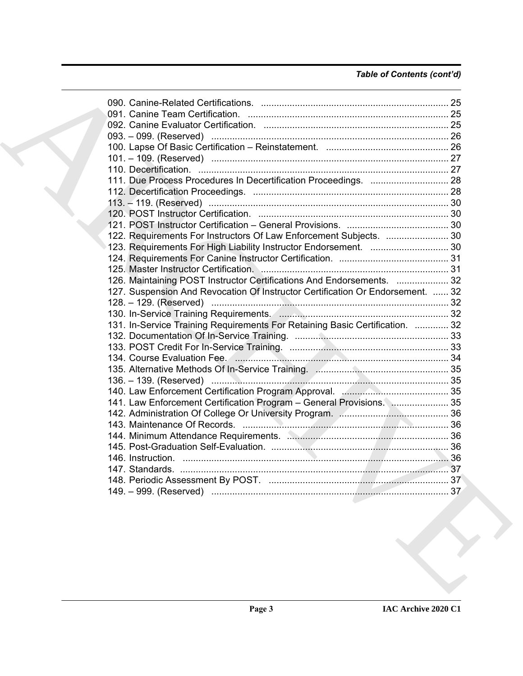# *Table of Contents (cont'd)*

| 093. – 099. (Reserved) material metatroone en electronic en electronic en electronic en electronic en electron |  |
|----------------------------------------------------------------------------------------------------------------|--|
|                                                                                                                |  |
|                                                                                                                |  |
|                                                                                                                |  |
|                                                                                                                |  |
|                                                                                                                |  |
|                                                                                                                |  |
|                                                                                                                |  |
|                                                                                                                |  |
| 122. Requirements For Instructors Of Law Enforcement Subjects.  30                                             |  |
| 123. Requirements For High Liability Instructor Endorsement.  30                                               |  |
|                                                                                                                |  |
|                                                                                                                |  |
| 126. Maintaining POST Instructor Certifications And Endorsements.  32                                          |  |
|                                                                                                                |  |
| 127. Suspension And Revocation Of Instructor Certification Or Endorsement.  32                                 |  |
|                                                                                                                |  |
|                                                                                                                |  |
| 131. In-Service Training Requirements For Retaining Basic Certification.  32                                   |  |
|                                                                                                                |  |
|                                                                                                                |  |
|                                                                                                                |  |
|                                                                                                                |  |
|                                                                                                                |  |
|                                                                                                                |  |
| 141. Law Enforcement Certification Program - General Provisions. M 35                                          |  |
|                                                                                                                |  |
|                                                                                                                |  |
|                                                                                                                |  |
|                                                                                                                |  |
| 146. Instruction.                                                                                              |  |
|                                                                                                                |  |
|                                                                                                                |  |
|                                                                                                                |  |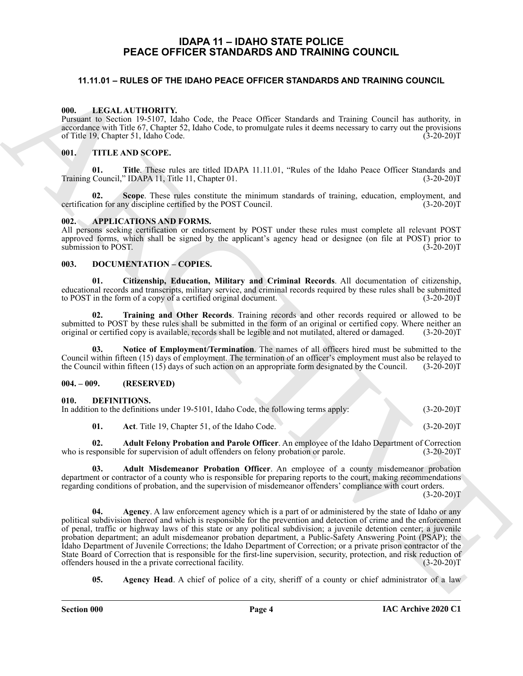# **IDAPA 11 – IDAHO STATE POLICE PEACE OFFICER STANDARDS AND TRAINING COUNCIL**

### <span id="page-3-19"></span><span id="page-3-1"></span><span id="page-3-0"></span>**11.11.01 – RULES OF THE IDAHO PEACE OFFICER STANDARDS AND TRAINING COUNCIL**

#### <span id="page-3-2"></span>**000. LEGAL AUTHORITY.**

Pursuant to Section 19-5107, Idaho Code, the Peace Officer Standards and Training Council has authority, in accordance with Title 67, Chapter 52, Idaho Code, to promulgate rules it deems necessary to carry out the provisions of Title 19, Chapter 51, Idaho Code. (3-20-20) of Title 19, Chapter 51, Idaho Code.

#### <span id="page-3-20"></span><span id="page-3-3"></span>**001. TITLE AND SCOPE.**

**01.** Title. These rules are titled IDAPA 11.11.01, "Rules of the Idaho Peace Officer Standards and Council," IDAPA 11, Title 11, Chapter 01. (3-20-20)T Training Council," IDAPA 11, Title 11, Chapter 01.

**02. Scope**. These rules constitute the minimum standards of training, education, employment, and certification for any discipline certified by the POST Council. (3-20-20)T

### <span id="page-3-8"></span><span id="page-3-4"></span>**002. APPLICATIONS AND FORMS.**

All persons seeking certification or endorsement by POST under these rules must complete all relevant POST approved forms, which shall be signed by the applicant's agency head or designee (on file at POST) prior to submission to POST. (3-20-20) submission to POST.

### <span id="page-3-15"></span><span id="page-3-5"></span>**003. DOCUMENTATION – COPIES.**

<span id="page-3-16"></span>**01. Citizenship, Education, Military and Criminal Records**. All documentation of citizenship, educational records and transcripts, military service, and criminal records required by these rules shall be submitted to POST in the form of a copy of a certified original document. (3-20-20) to POST in the form of a copy of a certified original document.

<span id="page-3-18"></span>**02. Training and Other Records**. Training records and other records required or allowed to be submitted to POST by these rules shall be submitted in the form of an original or certified copy. Where neither an original or certified copy is available, records shall be legible and not mutilated, altered or damaged. (3-20-20)T

<span id="page-3-17"></span>**03. Notice of Employment/Termination**. The names of all officers hired must be submitted to the Council within fifteen (15) days of employment. The termination of an officer's employment must also be relayed to the Council within fifteen (15) days of such action on an appropriate form designated by the Council. (3-20-20)T

### <span id="page-3-6"></span>**004. – 009. (RESERVED)**

#### <span id="page-3-9"></span><span id="page-3-7"></span>**010. DEFINITIONS.**

| In addition to the definitions under 19-5101, Idaho Code, the following terms apply: |  | $(3-20-20)T$ |
|--------------------------------------------------------------------------------------|--|--------------|
|                                                                                      |  |              |

<span id="page-3-12"></span><span id="page-3-11"></span><span id="page-3-10"></span>**01.** Act. Title 19, Chapter 51, of the Idaho Code. (3-20-20)T

**02. Adult Felony Probation and Parole Officer**. An employee of the Idaho Department of Correction esponsible for supervision of adult offenders on felony probation or parole. (3-20-20)T who is responsible for supervision of adult offenders on felony probation or parole.

<span id="page-3-13"></span>**03. Adult Misdemeanor Probation Officer**. An employee of a county misdemeanor probation department or contractor of a county who is responsible for preparing reports to the court, making recommendations regarding conditions of probation, and the supervision of misdemeanor offenders' compliance with court orders.

 $(3-20-20)T$ 

11.11.01 – RULES OF THE IDAND PEACE OFFICER STANDARDS AND TRAINING COUNCIL<br>
SINE INSERT ATTICURATION CALL the Passe Officer Standards and Taximic Concelles method in the method in the standard and the method in the method **04. Agency**. A law enforcement agency which is a part of or administered by the state of Idaho or any political subdivision thereof and which is responsible for the prevention and detection of crime and the enforcement of penal, traffic or highway laws of this state or any political subdivision; a juvenile detention center; a juvenile probation department; an adult misdemeanor probation department, a Public-Safety Answering Point (PSAP); the Idaho Department of Juvenile Corrections; the Idaho Department of Correction; or a private prison contractor of the State Board of Correction that is responsible for the first-line supervision, security, protection, and risk reduction of offenders housed in the a private correctional facility. (3-20-20)T

<span id="page-3-14"></span>**05.** Agency Head. A chief of police of a city, sheriff of a county or chief administrator of a law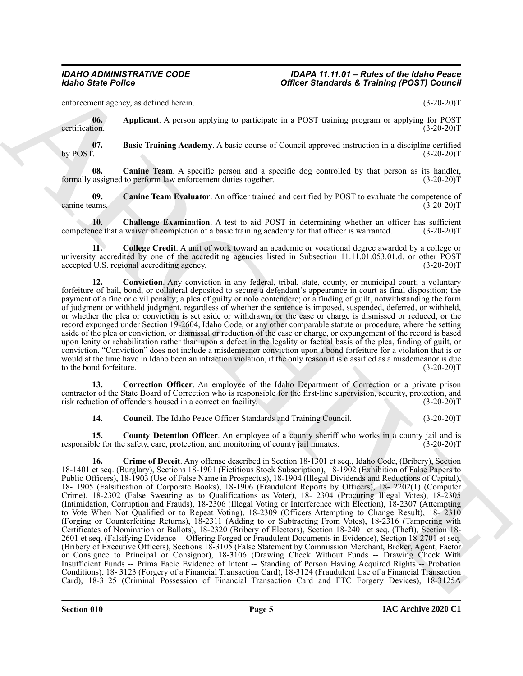<span id="page-4-0"></span>enforcement agency, as defined herein. (3-20-20)T

**06.** Applicant. A person applying to participate in a POST training program or applying for POST certification. (3-20-20) certification.  $(3-20-20)T$ 

<span id="page-4-2"></span><span id="page-4-1"></span>

**07.** Basic Training Academy. A basic course of Council approved instruction in a discipline certified by POST. (3-20-20) by POST.  $(3-20-20)T$ 

**08. Canine Team**. A specific person and a specific dog controlled by that person as its handler, formally assigned to perform law enforcement duties together. (3-20-20)T

<span id="page-4-3"></span>**09.** Canine Team Evaluator. An officer trained and certified by POST to evaluate the competence of ams. (3-20-20)T canine teams.

<span id="page-4-4"></span>**10.** Challenge Examination. A test to aid POST in determining whether an officer has sufficient nee that a waiver of completion of a basic training academy for that officer is warranted. (3-20-20)T competence that a waiver of completion of a basic training academy for that officer is warranted.

<span id="page-4-5"></span>**11. College Credit**. A unit of work toward an academic or vocational degree awarded by a college or university accredited by one of the accrediting agencies listed in Subsection 11.11.01.053.01.d. or other POST accepted U.S. regional accrediting agency. (3-20-20) accepted U.S. regional accrediting agency.

<span id="page-4-6"></span>**12. Conviction**. Any conviction in any federal, tribal, state, county, or municipal court; a voluntary forfeiture of bail, bond, or collateral deposited to secure a defendant's appearance in court as final disposition; the payment of a fine or civil penalty; a plea of guilty or nolo contendere; or a finding of guilt, notwithstanding the form of judgment or withheld judgment, regardless of whether the sentence is imposed, suspended, deferred, or withheld, or whether the plea or conviction is set aside or withdrawn, or the case or charge is dismissed or reduced, or the record expunged under Section 19-2604, Idaho Code, or any other comparable statute or procedure, where the setting aside of the plea or conviction, or dismissal or reduction of the case or charge, or expungement of the record is based upon lenity or rehabilitation rather than upon a defect in the legality or factual basis of the plea, finding of guilt, or conviction. "Conviction" does not include a misdemeanor conviction upon a bond forfeiture for a violation that is or would at the time have in Idaho been an infraction violation, if the only reason it is classified as a misdemeanor is due to the bond forfeiture. (3-20-20)T

**13. Correction Officer**. An employee of the Idaho Department of Correction or a private prison contractor of the State Board of Correction who is responsible for the first-line supervision, security, protection, and risk reduction of offenders housed in a correction facility. (3-20-20)T

<span id="page-4-10"></span><span id="page-4-9"></span><span id="page-4-8"></span><span id="page-4-7"></span>**14.** Council. The Idaho Peace Officer Standards and Training Council. (3-20-20)T

**15. County Detention Officer**. An employee of a county sheriff who works in a county jail and is ple for the safety, care, protection, and monitoring of county jail inmates. (3-20-20) responsible for the safety, care, protection, and monitoring of county jail inmates.

Monito State Police<br>
Collection State States States States States States States States States States States States States States States States States States States States States States States States States States States S **16. Crime of Deceit**. Any offense described in Section 18-1301 et seq., Idaho Code, (Bribery), Section 18-1401 et seq. (Burglary), Sections 18-1901 (Fictitious Stock Subscription), 18-1902 (Exhibition of False Papers to Public Officers), 18-1903 (Use of False Name in Prospectus), 18-1904 (Illegal Dividends and Reductions of Capital), 18- 1905 (Falsification of Corporate Books), 18-1906 (Fraudulent Reports by Officers), 18- 2202(1) (Computer Crime), 18-2302 (False Swearing as to Qualifications as Voter), 18- 2304 (Procuring Illegal Votes), 18-2305 (Intimidation, Corruption and Frauds), 18-2306 (Illegal Voting or Interference with Election), 18-2307 (Attempting to Vote When Not Qualified or to Repeat Voting), 18-2309 (Officers Attempting to Change Result), 18- 2310 (Forging or Counterfeiting Returns), 18-2311 (Adding to or Subtracting From Votes), 18-2316 (Tampering with Certificates of Nomination or Ballots), 18-2320 (Bribery of Electors), Section 18-2401 et seq. (Theft), Section 18- 2601 et seq. (Falsifying Evidence -- Offering Forged or Fraudulent Documents in Evidence), Section 18-2701 et seq. (Bribery of Executive Officers), Sections 18-3105 (False Statement by Commission Merchant, Broker, Agent, Factor or Consignee to Principal or Consignor), 18-3106 (Drawing Check Without Funds -- Drawing Check With Insufficient Funds -- Prima Facie Evidence of Intent -- Standing of Person Having Acquired Rights -- Probation Conditions), 18- 3123 (Forgery of a Financial Transaction Card), 18-3124 (Fraudulent Use of a Financial Transaction Card), 18-3125 (Criminal Possession of Financial Transaction Card and FTC Forgery Devices), 18-3125A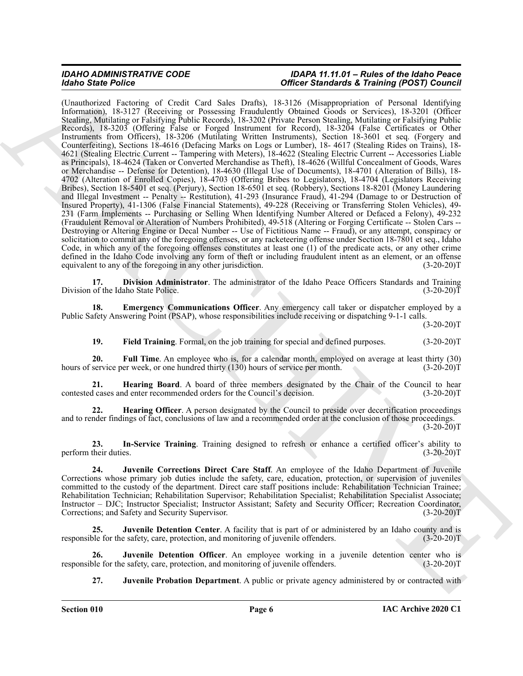More Sink Points . (The United Sinks Deal Sink Points of Marchans at Theorem is the sink of the sink of the sink points of the sink of the sink of the sink of the sink of the sink of the sink of the sink of the sink of th (Unauthorized Factoring of Credit Card Sales Drafts), 18-3126 (Misappropriation of Personal Identifying Information), 18-3127 (Receiving or Possessing Fraudulently Obtained Goods or Services), 18-3201 (Officer Stealing, Mutilating or Falsifying Public Records), 18-3202 (Private Person Stealing, Mutilating or Falsifying Public Records), 18-3203 (Offering False or Forged Instrument for Record), 18-3204 (False Certificates or Other Instruments from Officers), 18-3206 (Mutilating Written Instruments), Section 18-3601 et seq. (Forgery and Counterfeiting), Sections 18-4616 (Defacing Marks on Logs or Lumber), 18- 4617 (Stealing Rides on Trains), 18- 4621 (Stealing Electric Current -- Tampering with Meters), 18-4622 (Stealing Electric Current -- Accessories Liable as Principals), 18-4624 (Taken or Converted Merchandise as Theft), 18-4626 (Willful Concealment of Goods, Wares or Merchandise -- Defense for Detention), 18-4630 (Illegal Use of Documents), 18-4701 (Alteration of Bills), 18- 4702 (Alteration of Enrolled Copies), 18-4703 (Offering Bribes to Legislators), 18-4704 (Legislators Receiving Bribes), Section 18-5401 et seq. (Perjury), Section 18-6501 et seq. (Robbery), Sections 18-8201 (Money Laundering and Illegal Investment -- Penalty -- Restitution), 41-293 (Insurance Fraud), 41-294 (Damage to or Destruction of Insured Property), 41-1306 (False Financial Statements), 49-228 (Receiving or Transferring Stolen Vehicles), 49- 231 (Farm Implements -- Purchasing or Selling When Identifying Number Altered or Defaced a Felony), 49-232 (Fraudulent Removal or Alteration of Numbers Prohibited), 49-518 (Altering or Forging Certificate -- Stolen Cars -- Destroying or Altering Engine or Decal Number -- Use of Fictitious Name -- Fraud), or any attempt, conspiracy or solicitation to commit any of the foregoing offenses, or any racketeering offense under Section 18-7801 et seq., Idaho Code, in which any of the foregoing offenses constitutes at least one (1) of the predicate acts, or any other crime defined in the Idaho Code involving any form of theft or including fraudulent intent as an element, or an offense equivalent to any of the foregoing in any other jurisdiction. (3-20-20) (3-20-20) T

<span id="page-5-0"></span>**17. Division Administrator**. The administrator of the Idaho Peace Officers Standards and Training of the Idaho State Police. (3-20-20) Division of the Idaho State Police.

**18. Emergency Communications Officer**. Any emergency call taker or dispatcher employed by a Public Safety Answering Point (PSAP), whose responsibilities include receiving or dispatching 9-1-1 calls.

 $(3-20-20)T$ 

<span id="page-5-4"></span><span id="page-5-3"></span><span id="page-5-2"></span><span id="page-5-1"></span>**19. Field Training**. Formal, on the job training for special and defined purposes. (3-20-20)T

**20. Full Time**. An employee who is, for a calendar month, employed on average at least thirty (30) service per week, or one hundred thirty (130) hours of service per month. (3-20-20) hours of service per week, or one hundred thirty  $(130)$  hours of service per month.

**21. Hearing Board**. A board of three members designated by the Chair of the Council to hear d cases and enter recommended orders for the Council's decision. (3-20-20) contested cases and enter recommended orders for the Council's decision.

<span id="page-5-5"></span>**22. Hearing Officer**. A person designated by the Council to preside over decertification proceedings and to render findings of fact, conclusions of law and a recommended order at the conclusion of those proceedings.  $(3-20-20)T$ 

<span id="page-5-6"></span>**23. In-Service Training**. Training designed to refresh or enhance a certified officer's ability to perform their duties. (3-20-20)T

<span id="page-5-7"></span>**24. Juvenile Corrections Direct Care Staff**. An employee of the Idaho Department of Juvenile Corrections whose primary job duties include the safety, care, education, protection, or supervision of juveniles committed to the custody of the department. Direct care staff positions include: Rehabilitation Technician Trainee; Rehabilitation Technician; Rehabilitation Supervisor; Rehabilitation Specialist; Rehabilitation Specialist Associate; Instructor – DJC; Instructor Specialist; Instructor Assistant; Safety and Security Officer; Recreation Coordinator, Corrections; and Safety and Security Supervisor. (3-20-20)T

<span id="page-5-8"></span>**25. Juvenile Detention Center**. A facility that is part of or administered by an Idaho county and is responsible for the safety, care, protection, and monitoring of juvenile offenders. (3-20-20)T

**26. Juvenile Detention Officer**. An employee working in a juvenile detention center who is ole for the safety, care, protection, and monitoring of juvenile offenders. (3-20-20)<sup>T</sup> responsible for the safety, care, protection, and monitoring of juvenile offenders.

<span id="page-5-10"></span><span id="page-5-9"></span>**27. Juvenile Probation Department**. A public or private agency administered by or contracted with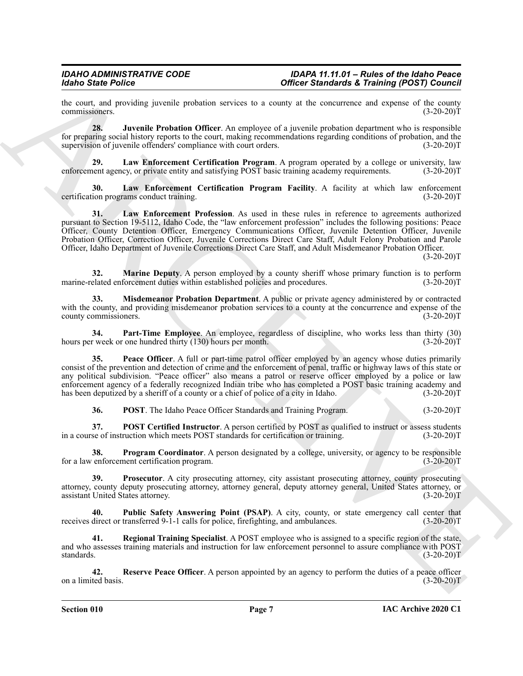the court, and providing juvenile probation services to a county at the concurrence and expense of the county commissioners. (3-20-20) commissioners.

<span id="page-6-0"></span>**28. Juvenile Probation Officer**. An employee of a juvenile probation department who is responsible for preparing social history reports to the court, making recommendations regarding conditions of probation, and the supervision of juvenile offenders' compliance with court orders. (3-20-20)T

<span id="page-6-1"></span>**Law Enforcement Certification Program.** A program operated by a college or university, law enforcement agency, or private entity and satisfying POST basic training academy requirements. (3-20-20)T

<span id="page-6-3"></span><span id="page-6-2"></span>**30. Law Enforcement Certification Program Facility**. A facility at which law enforcement certification programs conduct training.

More State Police continues problems that we want a late of the state of the state of the state police of the state of the state of the state of the state of the state of the state of the state of the state of the state o Law Enforcement Profession. As used in these rules in reference to agreements authorized pursuant to Section 19-5112, Idaho Code, the "law enforcement profession" includes the following positions: Peace Officer, County Detention Officer, Emergency Communications Officer, Juvenile Detention Officer, Juvenile Probation Officer, Correction Officer, Juvenile Corrections Direct Care Staff, Adult Felony Probation and Parole Officer, Idaho Department of Juvenile Corrections Direct Care Staff, and Adult Misdemeanor Probation Officer.

 $(3-20-20)T$ 

<span id="page-6-4"></span>**32. Marine Deputy**. A person employed by a county sheriff whose primary function is to perform elated enforcement duties within established policies and procedures. (3-20-20)<sup>T</sup> marine-related enforcement duties within established policies and procedures.

<span id="page-6-5"></span>**33. Misdemeanor Probation Department**. A public or private agency administered by or contracted with the county, and providing misdemeanor probation services to a county at the concurrence and expense of the county commissioners. (3-20-20) county commissioners.

<span id="page-6-6"></span>**34. Part-Time Employee**. An employee, regardless of discipline, who works less than thirty (30) r week or one hundred thirty (130) hours per month. (3-20-20) hours per week or one hundred thirty (130) hours per month.

<span id="page-6-7"></span>**35. Peace Officer**. A full or part-time patrol officer employed by an agency whose duties primarily consist of the prevention and detection of crime and the enforcement of penal, traffic or highway laws of this state or any political subdivision. "Peace officer" also means a patrol or reserve officer employed by a police or law enforcement agency of a federally recognized Indian tribe who has completed a POST basic training academy and<br>has been deputized by a sheriff of a county or a chief of police of a city in Idaho. (3-20-20)T has been deputized by a sheriff of a county or a chief of police of a city in Idaho.

<span id="page-6-14"></span><span id="page-6-9"></span><span id="page-6-8"></span>**36. POST**. The Idaho Peace Officer Standards and Training Program. (3-20-20)T

**37. POST Certified Instructor**. A person certified by POST as qualified to instruct or assess students se of instruction which meets POST standards for certification or training. (3-20-20)T in a course of instruction which meets POST standards for certification or training.

**38. Program Coordinator**. A person designated by a college, university, or agency to be responsible enforcement certification program. (3-20-20) for a law enforcement certification program.

<span id="page-6-10"></span>**39. Prosecutor**. A city prosecuting attorney, city assistant prosecuting attorney, county prosecuting attorney, county deputy prosecuting attorney, attorney general, deputy attorney general, United States attorney, or assistant United States attorney. (3-20-20)T

<span id="page-6-11"></span>**40.** Public Safety Answering Point (PSAP). A city, county, or state emergency call center that direct or transferred 9-1-1 calls for police, firefighting, and ambulances. (3-20-20) receives direct or transferred 9-1-1 calls for police, firefighting, and ambulances.

<span id="page-6-12"></span>**41. Regional Training Specialist**. A POST employee who is assigned to a specific region of the state, and who assesses training materials and instruction for law enforcement personnel to assure compliance with POST standards. (3-20-20)T

<span id="page-6-13"></span>**42. Reserve Peace Officer**. A person appointed by an agency to perform the duties of a peace officer on a limited basis. (3-20-20)T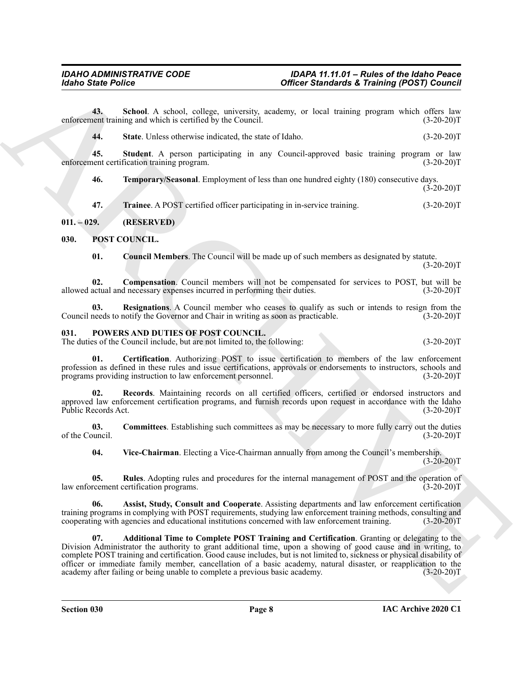**43. School**. A school, college, university, academy, or local training program which offers law enforcement training and which is certified by the Council. (3-20-20)T

<span id="page-7-5"></span><span id="page-7-4"></span><span id="page-7-3"></span>**44.** State. Unless otherwise indicated, the state of Idaho. (3-20-20)T

**45. Student**. A person participating in any Council-approved basic training program or law enforcement certification training program. (3-20-20)T

<span id="page-7-6"></span>**46. Temporary/Seasonal**. Employment of less than one hundred eighty (180) consecutive days.

 $(3 - 20 - 20)T$ 

<span id="page-7-7"></span>**47. Trainee**. A POST certified officer participating in in-service training. (3-20-20)T

#### <span id="page-7-0"></span>**011. – 029. (RESERVED)**

<span id="page-7-1"></span>**030. POST COUNCIL.**

<span id="page-7-11"></span><span id="page-7-10"></span><span id="page-7-9"></span><span id="page-7-8"></span>**01. Council Members**. The Council will be made up of such members as designated by statute.  $(3-20-20)T$ 

**02.** Compensation. Council members will not be compensated for services to POST, but will be actual and necessary expenses incurred in performing their duties. (3-20-20) allowed actual and necessary expenses incurred in performing their duties.

**03.** Resignations. A Council member who ceases to qualify as such or intends to resign from the needs to notify the Governor and Chair in writing as soon as practicable. (3-20-20) Council needs to notify the Governor and Chair in writing as soon as practicable.

#### <span id="page-7-12"></span><span id="page-7-2"></span>**031. POWERS AND DUTIES OF POST COUNCIL.**

The duties of the Council include, but are not limited to, the following: (3-20-20)T

<span id="page-7-15"></span>**01. Certification**. Authorizing POST to issue certification to members of the law enforcement profession as defined in these rules and issue certifications, approvals or endorsements to instructors, schools and programs providing instruction to law enforcement personnel. (3-20-20)T

<span id="page-7-17"></span>**02. Records**. Maintaining records on all certified officers, certified or endorsed instructors and approved law enforcement certification programs, and furnish records upon request in accordance with the Idaho<br>Public Records Act. (3-20-20)T Public Records Act.

**03.** Committees. Establishing such committees as may be necessary to more fully carry out the duties uncil.  $(3-20-20)T$ of the Council.

<span id="page-7-19"></span><span id="page-7-18"></span><span id="page-7-16"></span><span id="page-7-14"></span>**04. Vice-Chairman**. Electing a Vice-Chairman annually from among the Council's membership.  $(3-20-20)T$ 

**05.** Rules. Adopting rules and procedures for the internal management of POST and the operation of reement certification programs. (3-20-20) law enforcement certification programs.

<span id="page-7-13"></span>**06. Assist, Study, Consult and Cooperate**. Assisting departments and law enforcement certification training programs in complying with POST requirements, studying law enforcement training methods, consulting and cooperating with agencies and educational institutions concerned with law enforcement training. (3-20-20)T cooperating with agencies and educational institutions concerned with law enforcement training.

Globio State Police<br>
(a) State Role of the About Addis, and Amelia Constant, or best intiming property that Figure 1.<br>
Subsets A provide the State Role of the Above Constant Constant Constant Constant Constant Constant Co **07. Additional Time to Complete POST Training and Certification**. Granting or delegating to the Division Administrator the authority to grant additional time, upon a showing of good cause and in writing, to complete POST training and certification. Good cause includes, but is not limited to, sickness or physical disability of officer or immediate family member, cancellation of a basic academy, natural disaster, or reapplication to the academy after failing or being unable to complete a previous basic academy. (3-20-20) academy after failing or being unable to complete a previous basic academy.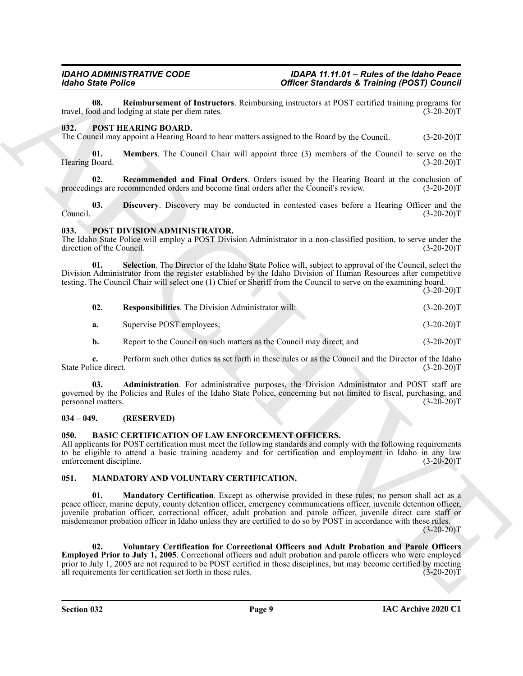<span id="page-8-17"></span>**08. Reimbursement of Instructors**. Reimbursing instructors at POST certified training programs for travel, food and lodging at state per diem rates.

#### <span id="page-8-13"></span><span id="page-8-0"></span>**032. POST HEARING BOARD.**

<span id="page-8-15"></span>The Council may appoint a Hearing Board to hear matters assigned to the Board by the Council. (3-20-20)T

**01. Members**. The Council Chair will appoint three (3) members of the Council to serve on the Hearing Board.

<span id="page-8-16"></span>**02.** Recommended and Final Orders. Orders issued by the Hearing Board at the conclusion of ngs are recommended orders and become final orders after the Council's review. (3-20-20)<sup>T</sup> proceedings are recommended orders and become final orders after the Council's review.

<span id="page-8-14"></span>**03. Discovery**. Discovery may be conducted in contested cases before a Hearing Officer and the Council. (3-20-20)T

#### <span id="page-8-9"></span><span id="page-8-1"></span>**033. POST DIVISION ADMINISTRATOR.**

The Idaho State Police will employ a POST Division Administrator in a non-classified position, to serve under the direction of the Council. (3-20-20)T

**01. Selection**. The Director of the Idaho State Police will, subject to approval of the Council, select the Division Administrator from the register established by the Idaho Division of Human Resources after competitive testing. The Council Chair will select one (1) Chief or Sheriff from the Council to serve on the examining board.

 $(3-20-20)T$ 

<span id="page-8-12"></span><span id="page-8-11"></span>

| 02. | <b>Responsibilities.</b> The Division Administrator will:            | $(3-20-20)T$ |
|-----|----------------------------------------------------------------------|--------------|
| а.  | Supervise POST employees;                                            | $(3-20-20)T$ |
| b.  | Report to the Council on such matters as the Council may direct; and | $(3-20-20)T$ |

**c.** Perform such other duties as set forth in these rules or as the Council and the Director of the Idaho State Police direct. (3-20-20)T

<span id="page-8-10"></span>**03. Administration**. For administrative purposes, the Division Administrator and POST staff are governed by the Policies and Rules of the Idaho State Police, concerning but not limited to fiscal, purchasing, and personnel matters. (3-20-20)T personnel matters.

#### <span id="page-8-2"></span>**034 – 049. (RESERVED)**

#### <span id="page-8-5"></span><span id="page-8-3"></span>**050. BASIC CERTIFICATION OF LAW ENFORCEMENT OFFICERS.**

All applicants for POST certification must meet the following standards and comply with the following requirements to be eligible to attend a basic training academy and for certification and employment in Idaho in any law<br>enforcement discipline. (3-20-20)T enforcement discipline.

# <span id="page-8-7"></span><span id="page-8-6"></span><span id="page-8-4"></span>**051. MANDATORY AND VOLUNTARY CERTIFICATION.**

Globe State Police Control distinctions and the control of Figure State Control is the state of the Control of the Control of the Control of the Control of the Control of the Control of the Control of the Control of the C **01. Mandatory Certification**. Except as otherwise provided in these rules, no person shall act as a peace officer, marine deputy, county detention officer, emergency communications officer, juvenile detention officer, juvenile probation officer, correctional officer, adult probation and parole officer, juvenile direct care staff or misdemeanor probation officer in Idaho unless they are certified to do so by POST in accordance with these rules.

 $(3-20-20)T$ 

<span id="page-8-8"></span>**02. Voluntary Certification for Correctional Officers and Adult Probation and Parole Officers Employed Prior to July 1, 2005**. Correctional officers and adult probation and parole officers who were employed prior to July 1, 2005 are not required to be POST certified in those disciplines, but may become certified by meeting all requirements for certification set forth in these rules. (3-20-20) all requirements for certification set forth in these rules.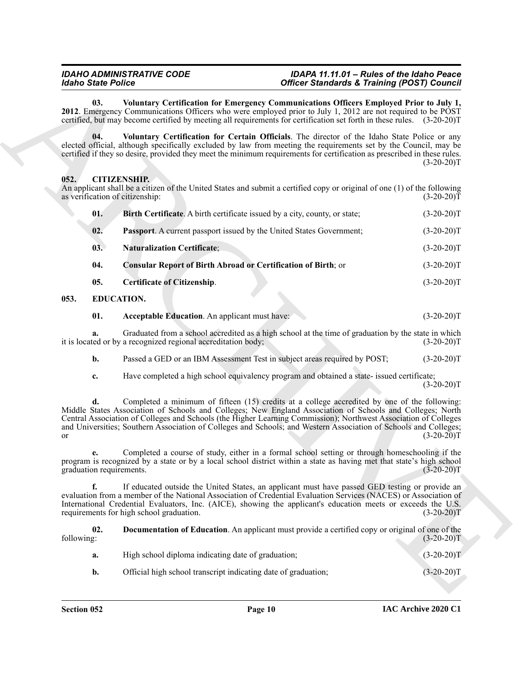# <span id="page-9-12"></span><span id="page-9-11"></span><span id="page-9-7"></span><span id="page-9-3"></span><span id="page-9-2"></span><span id="page-9-0"></span>**052. CITIZENSHIP.**

| <b>Idaho State Police</b>               |                                                               | <b>Officer Standards &amp; Training (POST) Council</b>                                                                                                                                                                                                                                                                                                                                                                                           |              |
|-----------------------------------------|---------------------------------------------------------------|--------------------------------------------------------------------------------------------------------------------------------------------------------------------------------------------------------------------------------------------------------------------------------------------------------------------------------------------------------------------------------------------------------------------------------------------------|--------------|
| 03.                                     |                                                               | Voluntary Certification for Emergency Communications Officers Employed Prior to July 1,<br>2012. Emergency Communications Officers who were employed prior to July 1, 2012 are not required to be POST<br>certified, but may become certified by meeting all requirements for certification set forth in these rules. (3-20-20)T                                                                                                                 |              |
| 04.                                     |                                                               | Voluntary Certification for Certain Officials. The director of the Idaho State Police or any<br>elected official, although specifically excluded by law from meeting the requirements set by the Council, may be<br>certified if they so desire, provided they meet the minimum requirements for certification as prescribed in these rules.                                                                                                     | $(3-20-20)T$ |
| 052.<br>as verification of citizenship: | <b>CITIZENSHIP.</b>                                           | An applicant shall be a citizen of the United States and submit a certified copy or original of one (1) of the following                                                                                                                                                                                                                                                                                                                         | $(3-20-20)T$ |
| 01.                                     |                                                               | Birth Certificate. A birth certificate issued by a city, county, or state;                                                                                                                                                                                                                                                                                                                                                                       | $(3-20-20)T$ |
| 02.                                     |                                                               | Passport. A current passport issued by the United States Government;                                                                                                                                                                                                                                                                                                                                                                             | $(3-20-20)T$ |
| 03.                                     | <b>Naturalization Certificate;</b>                            |                                                                                                                                                                                                                                                                                                                                                                                                                                                  | $(3-20-20)T$ |
| 04.                                     | Consular Report of Birth Abroad or Certification of Birth; or |                                                                                                                                                                                                                                                                                                                                                                                                                                                  | $(3-20-20)T$ |
| 05.                                     | <b>Certificate of Citizenship.</b>                            |                                                                                                                                                                                                                                                                                                                                                                                                                                                  | $(3-20-20)T$ |
| 053.                                    | <b>EDUCATION.</b>                                             |                                                                                                                                                                                                                                                                                                                                                                                                                                                  |              |
| 01.                                     | <b>Acceptable Education.</b> An applicant must have:          |                                                                                                                                                                                                                                                                                                                                                                                                                                                  | $(3-20-20)T$ |
| a.                                      | it is located or by a recognized regional accreditation body; | Graduated from a school accredited as a high school at the time of graduation by the state in which                                                                                                                                                                                                                                                                                                                                              | $(3-20-20)T$ |
| b.                                      |                                                               | Passed a GED or an IBM Assessment Test in subject areas required by POST;                                                                                                                                                                                                                                                                                                                                                                        | $(3-20-20)T$ |
| c.                                      |                                                               | Have completed a high school equivalency program and obtained a state- issued certificate;                                                                                                                                                                                                                                                                                                                                                       | $(3-20-20)T$ |
| d.<br>or                                |                                                               | Completed a minimum of fifteen (15) credits at a college accredited by one of the following:<br>Middle States Association of Schools and Colleges; New England Association of Schools and Colleges; North<br>Central Association of Colleges and Schools (the Higher Learning Commission); Northwest Association of Colleges<br>and Universities; Southern Association of Colleges and Schools; and Western Association of Schools and Colleges; | $(3-20-20)T$ |
| e.<br>graduation requirements.          |                                                               | Completed a course of study, either in a formal school setting or through homeschooling if the<br>program is recognized by a state or by a local school district within a state as having met that state's high school                                                                                                                                                                                                                           | $(3-20-20)T$ |
| f.                                      | requirements for high school graduation.                      | If educated outside the United States, an applicant must have passed GED testing or provide an<br>evaluation from a member of the National Association of Credential Evaluation Services (NACES) or Association of<br>International Credential Evaluators, Inc. (AICE), showing the applicant's education meets or exceeds the U.S.                                                                                                              | $(3-20-20)T$ |
| 02.<br>following:                       |                                                               | <b>Documentation of Education</b> . An applicant must provide a certified copy or original of one of the                                                                                                                                                                                                                                                                                                                                         | $(3-20-20)T$ |
| a.                                      | High school diploma indicating date of graduation;            |                                                                                                                                                                                                                                                                                                                                                                                                                                                  | $(3-20-20)T$ |
|                                         |                                                               |                                                                                                                                                                                                                                                                                                                                                                                                                                                  |              |

### <span id="page-9-1"></span>**053. EDUCATION.**

<span id="page-9-9"></span><span id="page-9-8"></span><span id="page-9-6"></span><span id="page-9-5"></span><span id="page-9-4"></span>

| 01. | <b>Acceptable Education.</b> An applicant must have: | $(3-20-20)T$ |
|-----|------------------------------------------------------|--------------|
|     |                                                      |              |

<span id="page-9-10"></span>

| 02.<br>following: | <b>Documentation of Education.</b> An applicant must provide a certified copy or original of one of the | $(3-20-20)T$ |
|-------------------|---------------------------------------------------------------------------------------------------------|--------------|
| а.                | High school diploma indicating date of graduation;                                                      | $(3-20-20)T$ |
| b.                | Official high school transcript indicating date of graduation;                                          | $(3-20-20)T$ |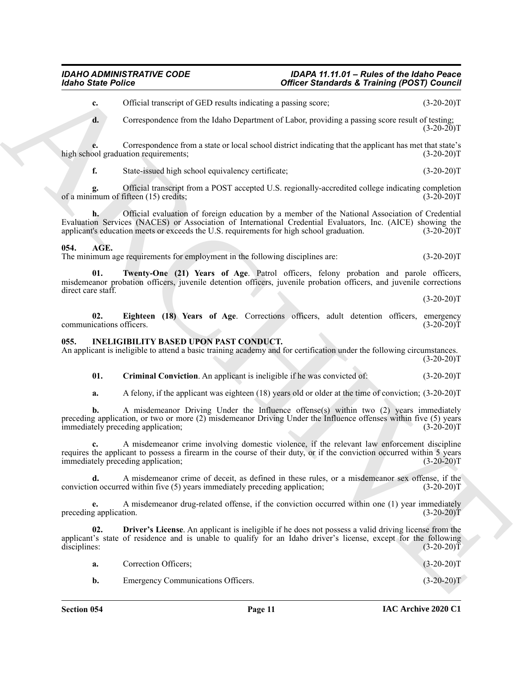**c.** Official transcript of GED results indicating a passing score;  $(3-20-20)T$ 

**d.** Correspondence from the Idaho Department of Labor, providing a passing score result of testing;  $(3-20-20)T$ 

**e.** Correspondence from a state or local school district indicating that the applicant has met that state's ool graduation requirements; (3-20-20) high school graduation requirements;

**f.** State-issued high school equivalency certificate; (3-20-20)T

**g.** Official transcript from a POST accepted U.S. regionally-accredited college indicating completion of a minimum of fifteen  $(15)$  credits;

**h.** Official evaluation of foreign education by a member of the National Association of Credential Evaluation Services (NACES) or Association of International Credential Evaluators, Inc. (AICE) showing the applicant's education meets or exceeds the U.S. requirements for high school graduation. (3-20-20)T

#### <span id="page-10-2"></span><span id="page-10-0"></span>**054. AGE.**

The minimum age requirements for employment in the following disciplines are:  $(3{\text -}20{\text -}20)$ 

<span id="page-10-4"></span>**01. Twenty-One (21) Years of Age**. Patrol officers, felony probation and parole officers, misdemeanor probation officers, juvenile detention officers, juvenile probation officers, and juvenile corrections direct care staff.

 $(3-20-20)T$ 

<span id="page-10-3"></span>**02. Eighteen (18) Years of Age**. Corrections officers, adult detention officers, emergency communications officers. (3-20-20)T

#### <span id="page-10-5"></span><span id="page-10-1"></span>**055. INELIGIBILITY BASED UPON PAST CONDUCT.**

An applicant is ineligible to attend a basic training academy and for certification under the following circumstances.  $(3-20-20)T$ 

<span id="page-10-6"></span>**01.** Criminal Conviction. An applicant is ineligible if he was convicted of: (3-20-20)T

**a.** A felony, if the applicant was eighteen (18) years old or older at the time of conviction;  $(3{\text -}20{\text -}20)$ T

Globe State Polices<br>
Children Constraints of Oble Deadles interded to the state of the Children Children Children Children Children Children Children Children Children Children Children Children Children Children Children **b.** A misdemeanor Driving Under the Influence offense(s) within two (2) years immediately preceding application, or two or more (2) misdemeanor Driving Under the Influence offenses within five (5) years immediately preceding application; (3-20-20)T

**c.** A misdemeanor crime involving domestic violence, if the relevant law enforcement discipline requires the applicant to possess a firearm in the course of their duty, or if the conviction occurred within 5 years immediately preceding application; (3-20-20) immediately preceding application;

**d.** A misdemeanor crime of deceit, as defined in these rules, or a misdemeanor sex offense, if the on occurred within five (5) years immediately preceding application; (3-20-20) conviction occurred within five  $(5)$  years immediately preceding application;

**e.** A misdemeanor drug-related offense, if the conviction occurred within one (1) year immediately g application. (3-20-20) preceding application.

**02. Driver's License**. An applicant is ineligible if he does not possess a valid driving license from the applicant's state of residence and is unable to qualify for an Idaho driver's license, except for the following disciplines: (3-20-20) disciplines:  $(3-20-20)T$ 

<span id="page-10-7"></span>

| a. | Correction Officers: | $(3-20-20)$ T |
|----|----------------------|---------------|
|    |                      |               |

**b.** Emergency Communications Officers. (3-20-20)T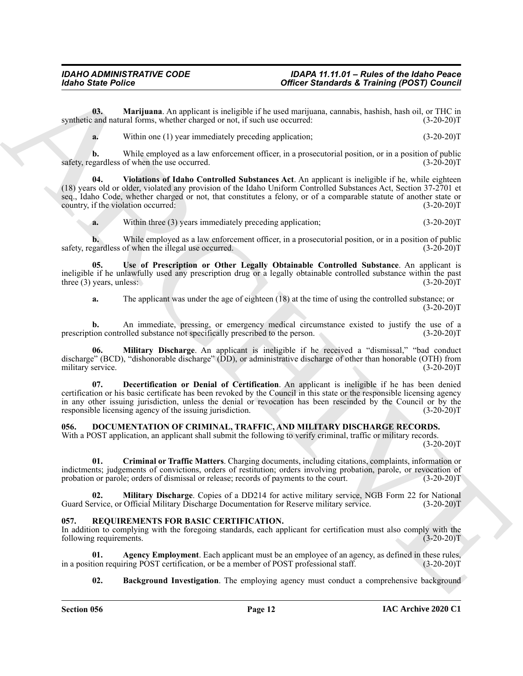**03. Marijuana**. An applicant is ineligible if he used marijuana, cannabis, hashish, hash oil, or THC in synthetic and natural forms, whether charged or not, if such use occurred:  $(3-20-20)$ T

<span id="page-11-9"></span><span id="page-11-6"></span>**a.** Within one (1) year immediately preceding application; (3-20-20)T

**b.** While employed as a law enforcement officer, in a prosecutorial position, or in a position of public gardless of when the use occurred. (3-20-20) safety, regardless of when the use occurred.

**04. Violations of Idaho Controlled Substances Act**. An applicant is ineligible if he, while eighteen (18) years old or older, violated any provision of the Idaho Uniform Controlled Substances Act, Section 37-2701 et seq., Idaho Code, whether charged or not, that constitutes a felony, or of a comparable statute of another state or country, if the violation occurred: (3-20-20) country, if the violation occurred:

<span id="page-11-8"></span>**a.** Within three (3) years immediately preceding application; (3-20-20)T

**b.** While employed as a law enforcement officer, in a prosecutorial position, or in a position of public safety, regardless of when the illegal use occurred. (3-20-20)T

**05. Use of Prescription or Other Legally Obtainable Controlled Substance**. An applicant is ineligible if he unlawfully used any prescription drug or a legally obtainable controlled substance within the past<br>three (3) years, unless: (3-20-20) three  $(3)$  years, unless:

<span id="page-11-7"></span>**a.** The applicant was under the age of eighteen (18) at the time of using the controlled substance; or  $(3-20-20)T$ 

**b.** An immediate, pressing, or emergency medical circumstance existed to justify the use of a ion controlled substance not specifically prescribed to the person. (3-20-20) prescription controlled substance not specifically prescribed to the person.

<span id="page-11-5"></span>**06. Military Discharge**. An applicant is ineligible if he received a "dismissal," "bad conduct discharge" (BCD), "dishonorable discharge" (DD), or administrative discharge of other than honorable (OTH) from military service. (3-20-20)T

Globe State Police<br>
(a) Nicelyn State State State and the spleet in the lage State and the spleet in the spleet in the spleet in the spleet state and the spleet of the spleet of the spleet of the spleet of the spleet of t **07. Decertification or Denial of Certification**. An applicant is ineligible if he has been denied certification or his basic certificate has been revoked by the Council in this state or the responsible licensing agency in any other issuing jurisdiction, unless the denial or revocation has been rescinded by the Council or by the responsible licensing agency of the issuing jurisdiction. (3-20-20)T

### <span id="page-11-2"></span><span id="page-11-0"></span>**056. DOCUMENTATION OF CRIMINAL, TRAFFIC, AND MILITARY DISCHARGE RECORDS.**

With a POST application, an applicant shall submit the following to verify criminal, traffic or military records.  $(3-20-20)$ T

<span id="page-11-3"></span>**01. Criminal or Traffic Matters**. Charging documents, including citations, complaints, information or indictments; judgements of convictions, orders of restitution; orders involving probation, parole, or revocation of probation or parole; orders of dismissal or release; records of payments to the court. (3-20-20)T

<span id="page-11-4"></span>**02. Military Discharge**. Copies of a DD214 for active military service, NGB Form 22 for National Guard Service, or Official Military Discharge Documentation for Reserve military service. (3-20-20)T

### <span id="page-11-10"></span><span id="page-11-1"></span>**057. REQUIREMENTS FOR BASIC CERTIFICATION.**

In addition to complying with the foregoing standards, each applicant for certification must also comply with the following requirements. (3-20-20)T

**01. Agency Employment**. Each applicant must be an employee of an agency, as defined in these rules, tion requiring POST certification, or be a member of POST professional staff.  $(3-20-20)$ T in a position requiring POST certification, or be a member of POST professional staff.

<span id="page-11-12"></span><span id="page-11-11"></span>**02. Background Investigation**. The employing agency must conduct a comprehensive background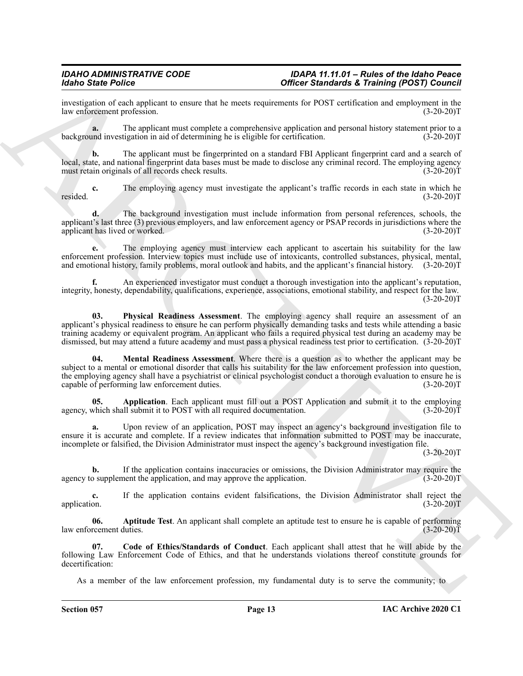investigation of each applicant to ensure that he meets requirements for POST certification and employment in the law enforcement profession.

**a.** The applicant must complete a comprehensive application and personal history statement prior to a background investigation in aid of determining he is eligible for certification. (3-20-20)T

**b.** The applicant must be fingerprinted on a standard FBI Applicant fingerprint card and a search of local, state, and national fingerprint data bases must be made to disclose any criminal record. The employing agency must retain originals of all records check results. (3-20-20)T

**c.** The employing agency must investigate the applicant's traffic records in each state in which he resided. (3-20-20)T

**d.** The background investigation must include information from personal references, schools, the applicant's last three (3) previous employers, and law enforcement agency or PSAP records in jurisdictions where the applicant has lived or worked. (3-20-20)T

**e.** The employing agency must interview each applicant to ascertain his suitability for the law enforcement profession. Interview topics must include use of intoxicants, controlled substances, physical, mental, and emotional history, family problems, moral outlook and habits, and the applicant's financial history. (3-20-20)T

**f.** An experienced investigator must conduct a thorough investigation into the applicant's reputation, integrity, honesty, dependability, qualifications, experience, associations, emotional stability, and respect for the law.  $(3-20-20)T$ 

<span id="page-12-4"></span><span id="page-12-3"></span>**03. Physical Readiness Assessment**. The employing agency shall require an assessment of an applicant's physical readiness to ensure he can perform physically demanding tasks and tests while attending a basic training academy or equivalent program. An applicant who fails a required physical test during an academy may be dismissed, but may attend a future academy and must pass a physical readiness test prior to certification. (3-20-20)T

Gradien Benefick and the content law of the state of the state of the state of the state of the state of the state of the state of the state of the state of the state of the state of the state of the state of the state of **04. Mental Readiness Assessment**. Where there is a question as to whether the applicant may be subject to a mental or emotional disorder that calls his suitability for the law enforcement profession into question, the employing agency shall have a psychiatrist or clinical psychologist conduct a thorough evaluation to ensure he is capable of performing law enforcement duties. (3-20-20)T

<span id="page-12-0"></span>**05. Application**. Each applicant must fill out a POST Application and submit it to the employing which shall submit it to POST with all required documentation.  $(3-20-20)$ T agency, which shall submit it to POST with all required documentation.

**a.** Upon review of an application, POST may inspect an agency's background investigation file to ensure it is accurate and complete. If a review indicates that information submitted to POST may be inaccurate, incomplete or falsified, the Division Administrator must inspect the agency's background investigation file.

 $(3-20-20)T$ 

**b.** If the application contains inaccuracies or omissions, the Division Administrator may require the agency to supplement the application, and may approve the application.  $(3-20-20)T$ 

**c.** If the application contains evident falsifications, the Division Administrator shall reject the application.  $(3-20-20)T$ 

<span id="page-12-1"></span>**06. Aptitude Test**. An applicant shall complete an aptitude test to ensure he is capable of performing law enforcement duties. (3-20-20)T

<span id="page-12-2"></span>**07. Code of Ethics/Standards of Conduct**. Each applicant shall attest that he will abide by the following Law Enforcement Code of Ethics, and that he understands violations thereof constitute grounds for decertification:

As a member of the law enforcement profession, my fundamental duty is to serve the community; to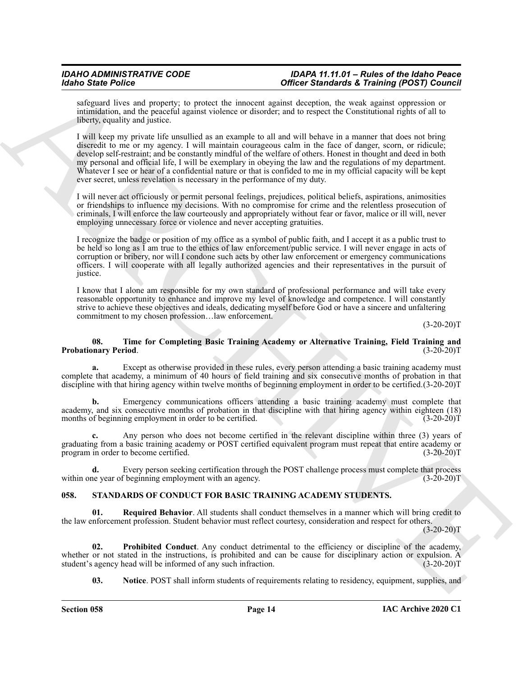safeguard lives and property; to protect the innocent against deception, the weak against oppression or intimidation, and the peaceful against violence or disorder; and to respect the Constitutional rights of all to liberty, equality and justice.

Moreo Safe Police control in grands the transmission of the Safe Safe Moreology of Color Counter of the Counter of the Counter of the Counter of the Counter of the Counter of the Counter of the Counter of the Counter of t I will keep my private life unsullied as an example to all and will behave in a manner that does not bring discredit to me or my agency. I will maintain courageous calm in the face of danger, scorn, or ridicule; develop self-restraint; and be constantly mindful of the welfare of others. Honest in thought and deed in both my personal and official life, I will be exemplary in obeying the law and the regulations of my department. Whatever I see or hear of a confidential nature or that is confided to me in my official capacity will be kept ever secret, unless revelation is necessary in the performance of my duty.

I will never act officiously or permit personal feelings, prejudices, political beliefs, aspirations, animosities or friendships to influence my decisions. With no compromise for crime and the relentless prosecution of criminals, I will enforce the law courteously and appropriately without fear or favor, malice or ill will, never employing unnecessary force or violence and never accepting gratuities.

I recognize the badge or position of my office as a symbol of public faith, and I accept it as a public trust to be held so long as I am true to the ethics of law enforcement/public service. I will never engage in acts of corruption or bribery, nor will I condone such acts by other law enforcement or emergency communications officers. I will cooperate with all legally authorized agencies and their representatives in the pursuit of justice.

I know that I alone am responsible for my own standard of professional performance and will take every reasonable opportunity to enhance and improve my level of knowledge and competence. I will constantly strive to achieve these objectives and ideals, dedicating myself before God or have a sincere and unfaltering commitment to my chosen profession…law enforcement.

 $(3-20-20)T$ 

#### <span id="page-13-1"></span>**08. Time for Completing Basic Training Academy or Alternative Training, Field Training and Probationary Period**. (3-20-20)T

**a.** Except as otherwise provided in these rules, every person attending a basic training academy must complete that academy, a minimum of 40 hours of field training and six consecutive months of probation in that discipline with that hiring agency within twelve months of beginning employment in order to be certified.(3-20-20)T

**b.** Emergency communications officers attending a basic training academy must complete that academy, and six consecutive months of probation in that discipline with that hiring agency within eighteen (18) months of beginning employment in order to be certified.  $(3-20-20)$  (3-20-20)T

**c.** Any person who does not become certified in the relevant discipline within three (3) years of graduating from a basic training academy or POST certified equivalent program must repeat that entire academy or program in order to become certified. (3-20-20)T

**d.** Every person seeking certification through the POST challenge process must complete that process ne year of beginning employment with an agency.  $(3-20-20)$ T within one year of beginning employment with an agency.

### <span id="page-13-2"></span><span id="page-13-0"></span>**058. STANDARDS OF CONDUCT FOR BASIC TRAINING ACADEMY STUDENTS.**

<span id="page-13-5"></span>**01. Required Behavior**. All students shall conduct themselves in a manner which will bring credit to the law enforcement profession. Student behavior must reflect courtesy, consideration and respect for others.

 $(3-20-20)T$ 

**02. Prohibited Conduct**. Any conduct detrimental to the efficiency or discipline of the academy, whether or not stated in the instructions, is prohibited and can be cause for disciplinary action or expulsion. A student's agency head will be informed of any such infraction. (3-20-20) student's agency head will be informed of any such infraction.

<span id="page-13-4"></span><span id="page-13-3"></span>**03.** Notice. POST shall inform students of requirements relating to residency, equipment, supplies, and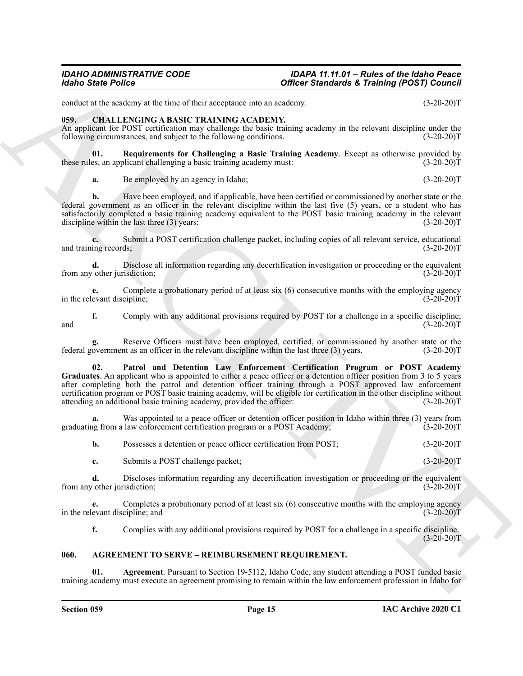# <span id="page-14-4"></span><span id="page-14-0"></span>**059. CHALLENGING A BASIC TRAINING ACADEMY.**

An applicant for POST certification may challenge the basic training academy in the relevant discipline under the following circumstances, and subject to the following conditions. (3-20-20)T

**01. Requirements for Challenging a Basic Training Academy**. Except as otherwise provided by these rules, an applicant challenging a basic training academy must:

<span id="page-14-6"></span>**a.** Be employed by an agency in Idaho; (3-20-20)T

**b.** Have been employed, and if applicable, have been certified or commissioned by another state or the federal government as an officer in the relevant discipline within the last five (5) years, or a student who has satisfactorily completed a basic training academy equivalent to the POST basic training academy in the relevant discipline within the last three (3) years; (3-20-20)T

**c.** Submit a POST certification challenge packet, including copies of all relevant service, educational and training records; (3-20-20)T

**d.** Disclose all information regarding any decertification investigation or proceeding or the equivalent from any other jurisdiction; (3-20-20)T

**e.** Complete a probationary period of at least six (6) consecutive months with the employing agency in the relevant discipline; (3-20-20)T

**f.** Comply with any additional provisions required by POST for a challenge in a specific discipline; and (3-20-20)T

<span id="page-14-5"></span>**g.** Reserve Officers must have been employed, certified, or commissioned by another state or the federal government as an officer in the relevant discipline within the last three (3) years. (3-20-20)T

Mohio Sinie Police<br>
collection of the Laurent Real Versus control in the second of the Sinis of the Sinis of the Sinis of the Sinis of the Collection of the Laurent Sinis of the Collection of the Collection of the Collect **02. Patrol and Detention Law Enforcement Certification Program or POST Academy Graduates**. An applicant who is appointed to either a peace officer or a detention officer position from 3 to 5 years after completing both the patrol and detention officer training through a POST approved law enforcement certification program or POST basic training academy, will be eligible for certification in the other discipline without attending an additional basic training academy, provided the officer: (3-20-20)T

Was appointed to a peace officer or detention officer position in Idaho within three (3) years from graduating from a law enforcement certification program or a POST Academy; (3-20-20)T

**b.** Possesses a detention or peace officer certification from POST;  $(3-20-20)$ T

**c.** Submits a POST challenge packet; (3-20-20)T

**d.** Discloses information regarding any decertification investigation or proceeding or the equivalent other jurisdiction; (3-20-20) from any other jurisdiction;

**e.** Completes a probationary period of at least six (6) consecutive months with the employing agency in the relevant discipline; and (3-20-20)T

<span id="page-14-3"></span><span id="page-14-2"></span>**f.** Complies with any additional provisions required by POST for a challenge in a specific discipline.  $(3-20-20)T$ 

#### <span id="page-14-1"></span>**060. AGREEMENT TO SERVE – REIMBURSEMENT REQUIREMENT.**

**01. Agreement**. Pursuant to Section 19-5112, Idaho Code, any student attending a POST funded basic training academy must execute an agreement promising to remain within the law enforcement profession in Idaho for

conduct at the academy at the time of their acceptance into an academy. (3-20-20)T

*Officer Standards & Training (POST) Council*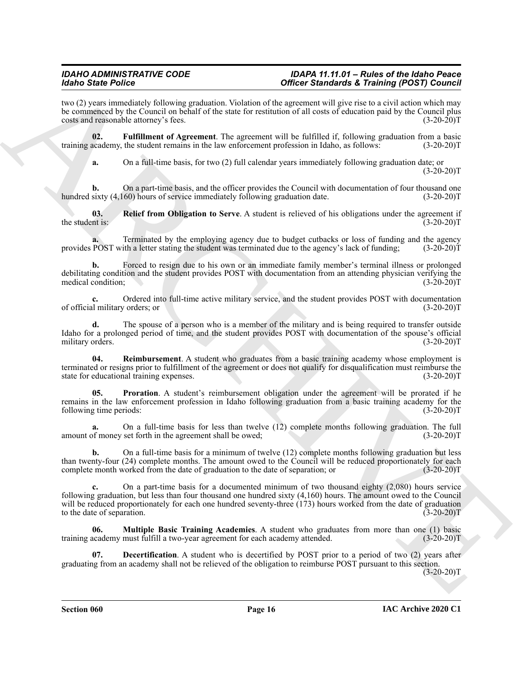two (2) years immediately following graduation. Violation of the agreement will give rise to a civil action which may be commenced by the Council on behalf of the state for restitution of all costs of education paid by the Council plus costs and reasonable attorney's fees. (3-20-20) costs and reasonable attorney's fees.

**02. Fulfillment of Agreement**. The agreement will be fulfilled if, following graduation from a basic training academy, the student remains in the law enforcement profession in Idaho, as follows: (3-20-20)T

<span id="page-15-5"></span><span id="page-15-1"></span>**a.** On a full-time basis, for two (2) full calendar years immediately following graduation date; or  $(3-20-20)T$ 

**b.** On a part-time basis, and the officer provides the Council with documentation of four thousand one hundred sixty (4,160) hours of service immediately following graduation date.  $(3-20-20)T$ 

**03. Relief from Obligation to Serve**. A student is relieved of his obligations under the agreement if the student is:  $(3-20-20)T$ 

**a.** Terminated by the employing agency due to budget cutbacks or loss of funding and the agency provides POST with a letter stating the student was terminated due to the agency's lack of funding; (3-20-20)T

Forced to resign due to his own or an immediate family member's terminal illness or prolonged debilitating condition and the student provides POST with documentation from an attending physician verifying the medical condition; (3-20-20)T medical condition;

**c.** Ordered into full-time active military service, and the student provides POST with documentation of official military orders; or (3-20-20)T

**d.** The spouse of a person who is a member of the military and is being required to transfer outside Idaho for a prolonged period of time, and the student provides POST with documentation of the spouse's official military orders. (3-20-20)T

<span id="page-15-4"></span>**Reimbursement**. A student who graduates from a basic training academy whose employment is terminated or resigns prior to fulfillment of the agreement or does not qualify for disqualification must reimburse the state for educational training expenses. (3-20-20)T

<span id="page-15-3"></span>**Proration**. A student's reimbursement obligation under the agreement will be prorated if he remains in the law enforcement profession in Idaho following graduation from a basic training academy for the following time periods: (3-20-20)T

On a full-time basis for less than twelve (12) complete months following graduation. The full set forth in the agreement shall be owed; (3-20-20)<sup>T</sup> amount of money set forth in the agreement shall be owed;

**b.** On a full-time basis for a minimum of twelve (12) complete months following graduation but less than twenty-four (24) complete months. The amount owed to the Council will be reduced proportionately for each complete month worked from the date of graduation to the date of separation; or (3-20-20)T

Moto State Pointe Co. The matter of the state of the State State Co. The matter of the matter of the matter of the matter of the state of the matter of the matter of the state of the state of the state of the state of the **c.** On a part-time basis for a documented minimum of two thousand eighty (2,080) hours service following graduation, but less than four thousand one hundred sixty (4,160) hours. The amount owed to the Council will be reduced proportionately for each one hundred seventy-three  $(173)$  hours worked from the date of graduation to the date of separation.  $(3-20-20)$ to the date of separation.

<span id="page-15-2"></span>**06. Multiple Basic Training Academies**. A student who graduates from more than one (1) basic training academy must fulfill a two-year agreement for each academy attended. (3-20-20)T

<span id="page-15-0"></span>**07. Decertification**. A student who is decertified by POST prior to a period of two (2) years after graduating from an academy shall not be relieved of the obligation to reimburse POST pursuant to this section.  $(3-20-20)T$ 

**Section 060 Page 16**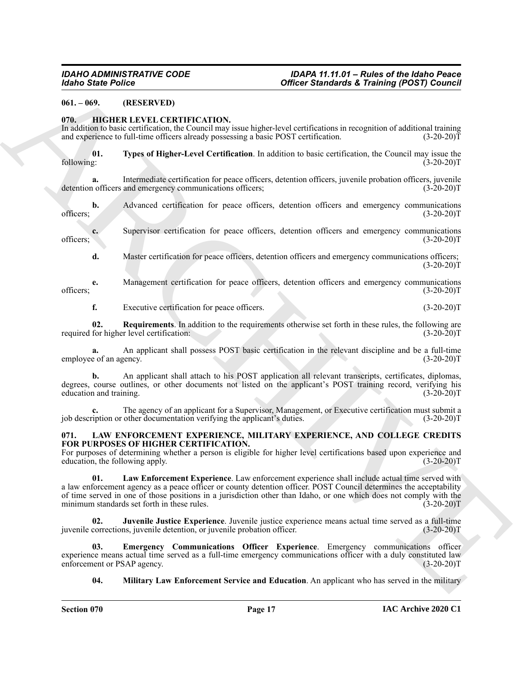#### <span id="page-16-0"></span>**061. – 069. (RESERVED)**

#### <span id="page-16-3"></span><span id="page-16-1"></span>**070. HIGHER LEVEL CERTIFICATION.**

In addition to basic certification, the Council may issue higher-level certifications in recognition of additional training and experience to full-time officers already possessing a basic POST certification. (3-20-20)<sup>T</sup>

<span id="page-16-5"></span>**01.** Types of Higher-Level Certification. In addition to basic certification, the Council may issue the following: (3-20-20)T following: (3-20-20)T

Intermediate certification for peace officers, detention officers, juvenile probation officers, juvenile and emergency communications officers; (3-20-20)<sup>T</sup> detention officers and emergency communications officers;

**b.** Advanced certification for peace officers, detention officers and emergency communications officers;  $(3-20-20)T$ 

**c.** Supervisor certification for peace officers, detention officers and emergency communications (3-20-20)T officers;  $(3-20-20)T$ 

**d.** Master certification for peace officers, detention officers and emergency communications officers;  $(3-20-20)T$ 

**e.** Management certification for peace officers, detention officers and emergency communications (3-20-20)T officers;  $(3-20-20)T$ 

<span id="page-16-4"></span>**f.** Executive certification for peace officers. (3-20-20)T

**02.** Requirements. In addition to the requirements otherwise set forth in these rules, the following are for higher level certification: (3-20-20) required for higher level certification:

An applicant shall possess POST basic certification in the relevant discipline and be a full-time gency. (3-20-20)T employee of an agency.

**b.** An applicant shall attach to his POST application all relevant transcripts, certificates, diplomas, degrees, course outlines, or other documents not listed on the applicant's POST training record, verifying his education and training. (3-20-20)T

**c.** The agency of an applicant for a Supervisor, Management, or Executive certification must submit a job description or other documentation verifying the applicant's duties. (3-20-20)T

#### <span id="page-16-6"></span><span id="page-16-2"></span>**071. LAW ENFORCEMENT EXPERIENCE, MILITARY EXPERIENCE, AND COLLEGE CREDITS FOR PURPOSES OF HIGHER CERTIFICATION.**

<span id="page-16-9"></span>For purposes of determining whether a person is eligible for higher level certifications based upon experience and education, the following apply. (3-20-20)T

Globo State Police<br>
U. 60. INTERNATIVE CONTROL TIONS CONTROL THE SERVICE CONTROL TIONS CONTROL THE CONTROL TIONS CONTROL THE CONTROL THE CONTROL THE CONTROL THE CONTROL THE CONTROL THE CONTROL THE CONTROL THE CONTROL THE **01. Law Enforcement Experience**. Law enforcement experience shall include actual time served with a law enforcement agency as a peace officer or county detention officer. POST Council determines the acceptability of time served in one of those positions in a jurisdiction other than Idaho, or one which does not comply with the minimum standards set forth in these rules. (3-20-20)T

<span id="page-16-8"></span>**02. Juvenile Justice Experience**. Juvenile justice experience means actual time served as a full-time juvenile corrections, juvenile detention, or juvenile probation officer. (3-20-20)T

**03. Emergency Communications Officer Experience**. Emergency communications officer experience means actual time served as a full-time emergency communications officer with a duly constituted law<br>
(3-20-20)T enforcement or PSAP agency.

<span id="page-16-10"></span><span id="page-16-7"></span>**04. Military Law Enforcement Service and Education**. An applicant who has served in the military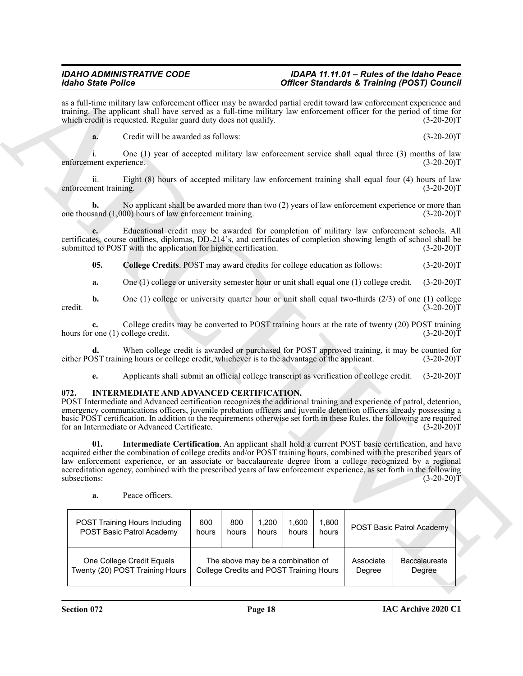### <span id="page-17-3"></span><span id="page-17-2"></span><span id="page-17-1"></span><span id="page-17-0"></span>**072. INTERMEDIATE AND ADVANCED CERTIFICATION.**

| <b>Idaho State Police</b>               |                                                                                                                                                                                                                                                                                                                                                                                                                                                                                                                                                                                                                                                                                                                                                                                                                                                                                                                                         |              |              |                                   |                |                |           | <b>Officer Standards &amp; Training (POST) Council</b> |
|-----------------------------------------|-----------------------------------------------------------------------------------------------------------------------------------------------------------------------------------------------------------------------------------------------------------------------------------------------------------------------------------------------------------------------------------------------------------------------------------------------------------------------------------------------------------------------------------------------------------------------------------------------------------------------------------------------------------------------------------------------------------------------------------------------------------------------------------------------------------------------------------------------------------------------------------------------------------------------------------------|--------------|--------------|-----------------------------------|----------------|----------------|-----------|--------------------------------------------------------|
|                                         | as a full-time military law enforcement officer may be awarded partial credit toward law enforcement experience and<br>training. The applicant shall have served as a full-time military law enforcement officer for the period of time for<br>which credit is requested. Regular guard duty does not qualify.                                                                                                                                                                                                                                                                                                                                                                                                                                                                                                                                                                                                                          |              |              |                                   |                |                |           | $(3-20-20)T$                                           |
| a.                                      | Credit will be awarded as follows:                                                                                                                                                                                                                                                                                                                                                                                                                                                                                                                                                                                                                                                                                                                                                                                                                                                                                                      |              |              |                                   |                |                |           | $(3-20-20)T$                                           |
| enforcement experience.                 | One (1) year of accepted military law enforcement service shall equal three (3) months of law                                                                                                                                                                                                                                                                                                                                                                                                                                                                                                                                                                                                                                                                                                                                                                                                                                           |              |              |                                   |                |                |           | $(3-20-20)T$                                           |
| ii.<br>enforcement training.            | Eight (8) hours of accepted military law enforcement training shall equal four (4) hours of law                                                                                                                                                                                                                                                                                                                                                                                                                                                                                                                                                                                                                                                                                                                                                                                                                                         |              |              |                                   |                |                |           | $(3-20-20)T$                                           |
| b.                                      | No applicant shall be awarded more than two $(2)$ years of law enforcement experience or more than<br>one thousand $(1,000)$ hours of law enforcement training.                                                                                                                                                                                                                                                                                                                                                                                                                                                                                                                                                                                                                                                                                                                                                                         |              |              |                                   |                |                |           | $(3-20-20)T$                                           |
|                                         | Educational credit may be awarded for completion of military law enforcement schools. All<br>certificates, course outlines, diplomas, DD-214's, and certificates of completion showing length of school shall be<br>submitted to POST with the application for higher certification.                                                                                                                                                                                                                                                                                                                                                                                                                                                                                                                                                                                                                                                    |              |              |                                   |                |                |           | $(3-20-20)T$                                           |
| 05.                                     | College Credits. POST may award credits for college education as follows:                                                                                                                                                                                                                                                                                                                                                                                                                                                                                                                                                                                                                                                                                                                                                                                                                                                               |              |              |                                   |                |                |           | $(3-20-20)T$                                           |
| a.                                      | One (1) college or university semester hour or unit shall equal one (1) college credit.                                                                                                                                                                                                                                                                                                                                                                                                                                                                                                                                                                                                                                                                                                                                                                                                                                                 |              |              |                                   |                |                |           | $(3-20-20)T$                                           |
| b.<br>credit.                           | One (1) college or university quarter hour or unit shall equal two-thirds $(2/3)$ of one (1) college                                                                                                                                                                                                                                                                                                                                                                                                                                                                                                                                                                                                                                                                                                                                                                                                                                    |              |              |                                   |                |                |           | $(3-20-20)T$                                           |
| c.<br>hours for one (1) college credit. | College credits may be converted to POST training hours at the rate of twenty (20) POST training                                                                                                                                                                                                                                                                                                                                                                                                                                                                                                                                                                                                                                                                                                                                                                                                                                        |              |              |                                   |                |                |           | $(3-20-20)T$                                           |
|                                         | When college credit is awarded or purchased for POST approved training, it may be counted for<br>either POST training hours or college credit, whichever is to the advantage of the applicant.                                                                                                                                                                                                                                                                                                                                                                                                                                                                                                                                                                                                                                                                                                                                          |              |              |                                   |                |                |           | $(3-20-20)T$                                           |
| e.                                      | Applicants shall submit an official college transcript as verification of college credit.                                                                                                                                                                                                                                                                                                                                                                                                                                                                                                                                                                                                                                                                                                                                                                                                                                               |              |              |                                   |                |                |           | $(3-20-20)T$                                           |
| 072.<br>01.                             | INTERMEDIATE AND ADVANCED CERTIFICATION.<br>POST Intermediate and Advanced certification recognizes the additional training and experience of patrol, detention,<br>emergency communications officers, juvenile probation officers and juvenile detention officers already possessing a<br>basic POST certification. In addition to the requirements otherwise set forth in these Rules, the following are required<br>for an Intermediate or Advanced Certificate.<br>Intermediate Certification. An applicant shall hold a current POST basic certification, and have<br>acquired either the combination of college credits and/or POST training hours, combined with the prescribed years of<br>law enforcement experience, or an associate or baccalaureate degree from a college recognized by a regional<br>accreditation agency, combined with the prescribed years of law enforcement experience, as set forth in the following |              |              |                                   |                |                |           | $(3-20-20)T$                                           |
| subsections:                            |                                                                                                                                                                                                                                                                                                                                                                                                                                                                                                                                                                                                                                                                                                                                                                                                                                                                                                                                         |              |              |                                   |                |                |           | $(3-20-20)T$                                           |
| a.                                      | Peace officers.                                                                                                                                                                                                                                                                                                                                                                                                                                                                                                                                                                                                                                                                                                                                                                                                                                                                                                                         |              |              |                                   |                |                |           |                                                        |
|                                         | <b>POST Training Hours Including</b><br>POST Basic Patrol Academy                                                                                                                                                                                                                                                                                                                                                                                                                                                                                                                                                                                                                                                                                                                                                                                                                                                                       | 600<br>hours | 800<br>hours | 1,200<br>hours                    | 1,600<br>hours | 1,800<br>hours |           | POST Basic Patrol Academy                              |
|                                         | One College Credit Equals                                                                                                                                                                                                                                                                                                                                                                                                                                                                                                                                                                                                                                                                                                                                                                                                                                                                                                               |              |              | The above may be a combination of |                |                | Associate | Baccalaureate                                          |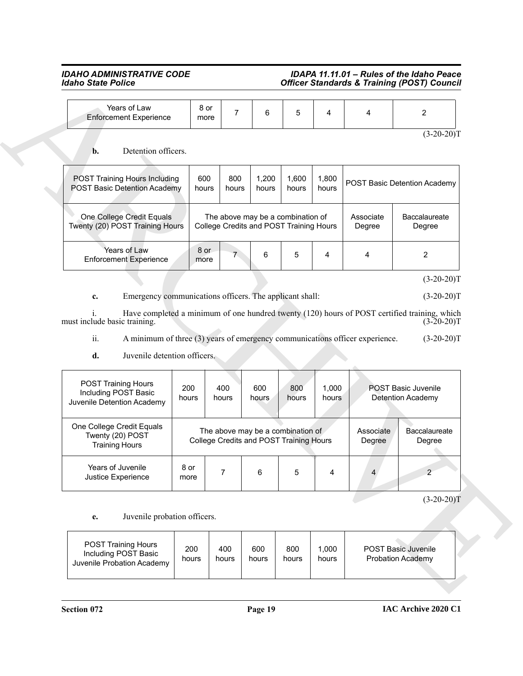| Years of Law<br><b>Enforcement Experience</b> | 8 or<br>more |  |  |                     |
|-----------------------------------------------|--------------|--|--|---------------------|
|                                               |              |  |  | $3 - 20$ -.<br>20 H |

### **b.** Detention officers.

| <b>POST Training Hours Including</b><br><b>POST Basic Detention Academy</b> | 600<br>hours | 800<br>hours | 1.200<br>hours                                                               | 1,600<br>hours | 1,800<br>hours |                     | POST Basic Detention Academy   |
|-----------------------------------------------------------------------------|--------------|--------------|------------------------------------------------------------------------------|----------------|----------------|---------------------|--------------------------------|
| One College Credit Equals<br>Twenty (20) POST Training Hours                |              |              | The above may be a combination of<br>College Credits and POST Training Hours |                |                | Associate<br>Degree | <b>Baccalaureate</b><br>Degree |
| Years of Law<br><b>Enforcement Experience</b>                               | 8 or<br>more |              | 6                                                                            | 5              | 4              |                     |                                |

| $\overline{2}$                                                                                               | $\overline{4}$      | 4              | 5              | 6                                                                            | $\overline{7}$ | 8 or<br>more | Years of Law<br><b>Enforcement Experience</b>                                         |
|--------------------------------------------------------------------------------------------------------------|---------------------|----------------|----------------|------------------------------------------------------------------------------|----------------|--------------|---------------------------------------------------------------------------------------|
| $(3-20-20)T$                                                                                                 |                     |                |                |                                                                              |                |              |                                                                                       |
|                                                                                                              |                     |                |                |                                                                              |                |              | Detention officers.<br>b.                                                             |
| POST Basic Detention Academy                                                                                 |                     | 1,800<br>hours | 1,600<br>hours | 1,200<br>hours                                                               | 800<br>hours   | 600<br>hours | <b>POST Training Hours Including</b><br><b>POST Basic Detention Academy</b>           |
| Baccalaureate<br>Degree                                                                                      | Associate<br>Degree |                |                | The above may be a combination of<br>College Credits and POST Training Hours |                |              | One College Credit Equals<br>Twenty (20) POST Training Hours                          |
| $\overline{c}$                                                                                               | 4                   | 4              | 5              | 6                                                                            | 7              | 8 or<br>more | Years of Law<br><b>Enforcement Experience</b>                                         |
| $(3-20-20)T$                                                                                                 |                     |                |                |                                                                              |                |              |                                                                                       |
| $(3-20-20)T$                                                                                                 |                     |                |                |                                                                              |                |              | Emergency communications officers. The applicant shall:<br>c.                         |
|                                                                                                              |                     |                |                |                                                                              |                |              |                                                                                       |
| Have completed a minimum of one hundred twenty (120) hours of POST certified training, which<br>$(3-20-20)T$ |                     |                |                |                                                                              |                |              | must include basic training.                                                          |
| $(3-20-20)T$                                                                                                 |                     |                |                |                                                                              |                |              | ii.<br>A minimum of three $(3)$ years of emergency communications officer experience. |
|                                                                                                              |                     |                |                |                                                                              |                |              | d.<br>Juvenile detention officers.                                                    |
| POST Basic Juvenile<br>Detention Academy                                                                     |                     | 1,000<br>hours | 800<br>hours   | 600<br>hours                                                                 | 400<br>hours   | 200<br>hours | <b>POST Training Hours</b><br>Including POST Basic<br>Juvenile Detention Academy      |
| Baccalaureate<br>Degree                                                                                      | Associate<br>Degree |                |                | The above may be a combination of<br>College Credits and POST Training Hours |                |              | One College Credit Equals<br>Twenty (20) POST<br><b>Training Hours</b>                |
| $\overline{2}$                                                                                               | 4                   | 4              | 5              | 6                                                                            | 7              | 8 or<br>more | Years of Juvenile<br>Justice Experience                                               |
| $(3-20-20)T$                                                                                                 |                     |                |                |                                                                              |                |              |                                                                                       |
|                                                                                                              |                     |                |                |                                                                              |                |              | Juvenile probation officers.<br>e.                                                    |

### **e.** Juvenile probation officers.

| <b>POST Training Hours</b><br>Including POST Basic<br>Juvenile Probation Academy | 200<br>hours | 400<br>hours | 600<br>hours | 800<br>hours | .000<br>hours | <b>POST Basic Juvenile</b><br><b>Probation Academy</b> |
|----------------------------------------------------------------------------------|--------------|--------------|--------------|--------------|---------------|--------------------------------------------------------|
|----------------------------------------------------------------------------------|--------------|--------------|--------------|--------------|---------------|--------------------------------------------------------|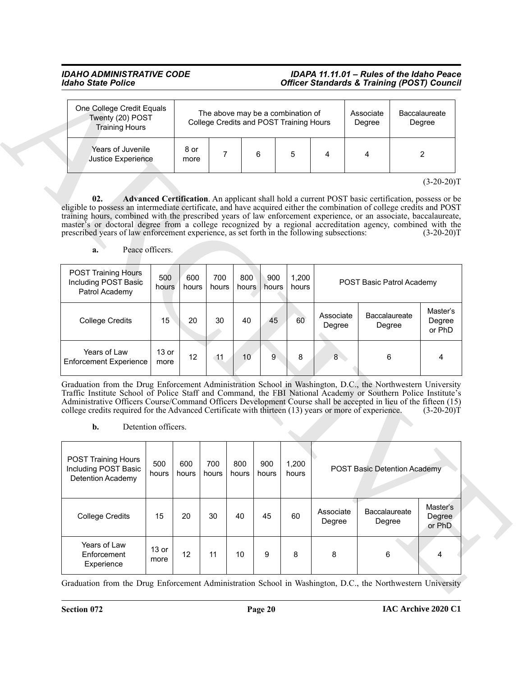| One College Credit Equals<br>Twenty (20) POST<br><b>Training Hours</b> |              |   | The above may be a combination of<br>College Credits and POST Training Hours | Associate<br>Degree | <b>Baccalaureate</b><br>Degree |
|------------------------------------------------------------------------|--------------|---|------------------------------------------------------------------------------|---------------------|--------------------------------|
| Years of Juvenile<br>Justice Experience                                | 8 or<br>more | 6 | 5                                                                            | 4                   |                                |

<span id="page-19-0"></span>

| <b>POST Training Hours</b><br>Including POST Basic<br>Patrol Academy | 500<br>hours  | 600<br>hours | 700<br>hours | 800<br>hours | 900<br>hours | 1,200<br>hours |                     | <b>POST Basic Patrol Academy</b> |                              |
|----------------------------------------------------------------------|---------------|--------------|--------------|--------------|--------------|----------------|---------------------|----------------------------------|------------------------------|
| <b>College Credits</b>                                               | 15            | 20           | 30           | 40           | 45           | 60             | Associate<br>Degree | Baccalaureate<br>Degree          | Master's<br>Degree<br>or PhD |
| Years of Law<br><b>Enforcement Experience</b>                        | 13 or<br>more | 12           | 11           | 10           | 9            | 8              | 8                   | 6                                | 4                            |

| One College Credit Equals<br>Twenty (20) POST<br><b>Training Hours</b>                                                                                                                                                                                                                                                                                                                                                                                                                  |                     | The above may be a combination of<br>Associate<br>Baccalaureate<br>College Credits and POST Training Hours<br>Degree<br>Degree |                |                 |              |                |                                                                                                   |                              |        |                              |
|-----------------------------------------------------------------------------------------------------------------------------------------------------------------------------------------------------------------------------------------------------------------------------------------------------------------------------------------------------------------------------------------------------------------------------------------------------------------------------------------|---------------------|--------------------------------------------------------------------------------------------------------------------------------|----------------|-----------------|--------------|----------------|---------------------------------------------------------------------------------------------------|------------------------------|--------|------------------------------|
| Years of Juvenile<br>Justice Experience                                                                                                                                                                                                                                                                                                                                                                                                                                                 |                     | 8 or<br>more                                                                                                                   | $\overline{7}$ |                 | 6            | 5              | 4                                                                                                 | 4                            | 2      |                              |
| 02.<br>eligible to possess an intermediate certificate, and have acquired either the combination of college credits and POST<br>training hours, combined with the prescribed years of law enforcement experience, or an associate, baccalaureate,<br>master's or doctoral degree from a college recognized by a regional accreditation agency, combined with the<br>prescribed years of law enforcement experience, as set forth in the following subsections:<br>Peace officers.<br>a. |                     |                                                                                                                                |                |                 |              |                | Advanced Certification. An applicant shall hold a current POST basic certification, possess or be |                              |        | $(3-20-20)T$<br>$(3-20-20)T$ |
| <b>POST Training Hours</b><br>Including POST Basic<br>Patrol Academy                                                                                                                                                                                                                                                                                                                                                                                                                    | 500<br>hours        | 600<br>hours                                                                                                                   | 700<br>hours   | 800<br>hours    | 900<br>hours | 1,200<br>hours |                                                                                                   | POST Basic Patrol Academy    |        |                              |
| <b>College Credits</b>                                                                                                                                                                                                                                                                                                                                                                                                                                                                  | 15                  | 20                                                                                                                             | 30             | 40              | 45           | 60             | Associate<br>Degree                                                                               | Baccalaureate                | Degree | Master's<br>Degree<br>or PhD |
| Years of Law<br><b>Enforcement Experience</b>                                                                                                                                                                                                                                                                                                                                                                                                                                           | $13$ or<br>more     | 12                                                                                                                             | $\triangle$ 11 | 10 <sup>°</sup> | 9            | 8              | 8                                                                                                 | 6                            |        | 4                            |
| Graduation from the Drug Enforcement Administration School in Washington, D.C., the Northwestern University<br>Traffic Institute School of Police Staff and Command, the FBI National Academy or Southern Police Institute's<br>Administrative Officers Course/Command Officers Development Course shall be accepted in lieu of the fifteen (15)<br>college credits required for the Advanced Certificate with thirteen (13) years or more of experience.<br>b.                         | Detention officers. |                                                                                                                                |                |                 |              |                |                                                                                                   |                              |        | $(3-20-20)T$                 |
| <b>POST Training Hours</b><br>Including POST Basic<br>Detention Academy                                                                                                                                                                                                                                                                                                                                                                                                                 | 500<br>hours        | 600<br>hours                                                                                                                   | 700<br>hours   | 800<br>hours    | 900<br>hours | 1,200<br>hours |                                                                                                   | POST Basic Detention Academy |        |                              |
| <b>College Credits</b>                                                                                                                                                                                                                                                                                                                                                                                                                                                                  | 15                  | 20                                                                                                                             | 30             | 40              | 45           | 60             | Associate<br>Degree                                                                               | Baccalaureate<br>Degree      |        | Master's<br>Degree<br>or PhD |
| Years of Law<br>Enforcement                                                                                                                                                                                                                                                                                                                                                                                                                                                             | $13$ or             | 12                                                                                                                             | 11             | 10              | 9            | 8              | 8                                                                                                 | 6                            |        | 4                            |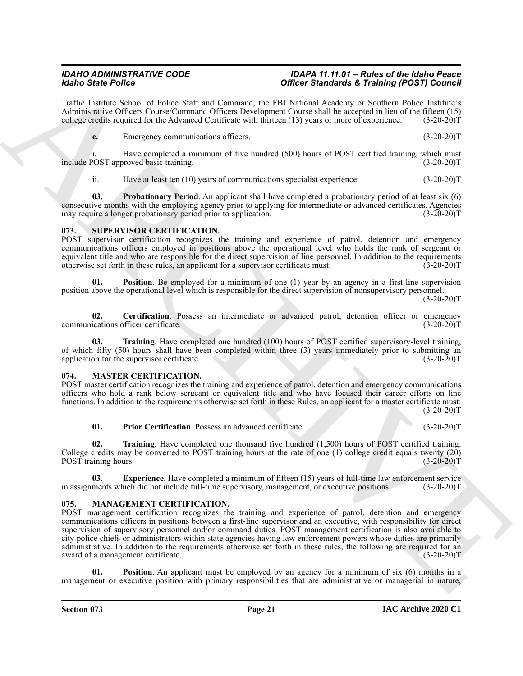Traffic Institute School of Police Staff and Command, the FBI National Academy or Southern Police Institute's Administrative Officers Course/Command Officers Development Course shall be accepted in lieu of the fifteen (15) college credits required for the Advanced Certificate with thirteen (13) years or more of experience. (3-20-20)T

**c.** Emergency communications officers. (3-20-20)T

i. Have completed a minimum of five hundred (500) hours of POST certified training, which must POST approved basic training. (3-20-20) include POST approved basic training.

<span id="page-20-3"></span>ii. Have at least ten (10) years of communications specialist experience. (3-20-20)T

**03. Probationary Period**. An applicant shall have completed a probationary period of at least six (6) consecutive months with the employing agency prior to applying for intermediate or advanced certificates. Agencies may require a longer probationary period prior to application. (3-20-20) m

### <span id="page-20-10"></span><span id="page-20-0"></span>**073. SUPERVISOR CERTIFICATION.**

POST supervisor certification recognizes the training and experience of patrol, detention and emergency communications officers employed in positions above the operational level who holds the rank of sergeant or equivalent title and who are responsible for the direct supervision of line personnel. In addition to the requirements otherwise set forth in these rules, an applicant for a supervisor certificate must: (3-20-20)T

<span id="page-20-12"></span>**01.** Position. Be employed for a minimum of one (1) year by an agency in a first-line supervision position above the operational level which is responsible for the direct supervision of nonsupervisory personnel.

 $(3-20-20)T$ 

<span id="page-20-11"></span>**02.** Certification. Possess an intermediate or advanced patrol, detention officer or emergency ications officer certificate. (3-20-20)T communications officer certificate.

<span id="page-20-13"></span>**03. Training**. Have completed one hundred (100) hours of POST certified supervisory-level training, of which fifty (50) hours shall have been completed within three (3) years immediately prior to submitting an application for the supervisor certificate. (3-20-20) application for the supervisor certificate.

### <span id="page-20-6"></span><span id="page-20-1"></span>**074. MASTER CERTIFICATION.**

POST master certification recognizes the training and experience of patrol, detention and emergency communications officers who hold a rank below sergeant or equivalent title and who have focused their career efforts on line functions. In addition to the requirements otherwise set forth in these Rules, an applicant for a master certificate must:  $(3-20-20)T$ 

<span id="page-20-9"></span><span id="page-20-8"></span><span id="page-20-7"></span>**01.** Prior Certification. Possess an advanced certificate. (3-20-20)T

**02. Training**. Have completed one thousand five hundred (1,500) hours of POST certified training. College credits may be converted to POST training hours at the rate of one (1) college credit equals twenty (20) POST training hours. (3-20-20)T

**03. Experience**. Have completed a minimum of fifteen (15) years of full-time law enforcement service ments which did not include full-time supervisory, management, or executive positions. (3-20-20)T in assignments which did not include full-time supervisory, management, or executive positions.

### <span id="page-20-4"></span><span id="page-20-2"></span>**075. MANAGEMENT CERTIFICATION.**

Moto Sink Police Control (1993). Sink methods of the sink of Figure Control (1993) (1993). Sink methods of the sink of the sink of the sink of the sink of the sink of the sink of the sink of the sink of the sink of the si POST management certification recognizes the training and experience of patrol, detention and emergency communications officers in positions between a first-line supervisor and an executive, with responsibility for direct supervision of supervisory personnel and/or command duties. POST management certification is also available to city police chiefs or administrators within state agencies having law enforcement powers whose duties are primarily administrative. In addition to the requirements otherwise set forth in these rules, the following are required for an award of a management certificate. (3-20-20)T

<span id="page-20-5"></span>**Position**. An applicant must be employed by an agency for a minimum of six (6) months in a management or executive position with primary responsibilities that are administrative or managerial in nature,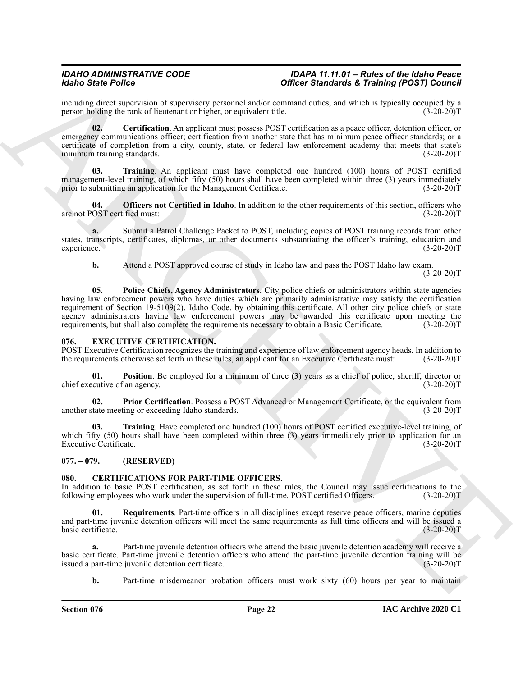including direct supervision of supervisory personnel and/or command duties, and which is typically occupied by a person holding the rank of lieutenant or higher, or equivalent title.

<span id="page-21-9"></span>**02. Certification**. An applicant must possess POST certification as a peace officer, detention officer, or emergency communications officer; certification from another state that has minimum peace officer standards; or a certificate of completion from a city, county, state, or federal law enforcement academy that meets that state's minimum training standards.

<span id="page-21-12"></span>**03. Training**. An applicant must have completed one hundred (100) hours of POST certified management-level training, of which fifty (50) hours shall have been completed within three (3) years immediately prior to submitting an application for the Management Certificate. (3-20-20)<sup>T</sup> (3-20-20)<sup>T</sup>

<span id="page-21-10"></span>**04.** Officers not Certified in Idaho. In addition to the other requirements of this section, officers who are not POST certified must: (3-20-20)T

**a.** Submit a Patrol Challenge Packet to POST, including copies of POST training records from other states, transcripts, certificates, diplomas, or other documents substantiating the officer's training, education and experience. (3-20-20)T

<span id="page-21-11"></span>**b.** Attend a POST approved course of study in Idaho law and pass the POST Idaho law exam.

 $(3-20-20)T$ 

Moto Sales Police Constraints are constraint a constraint a constraint a constraint and the police of the sales Police Constraint and the sales of the sales of the sales of the sales of the sales of the sales of the sales **05. Police Chiefs, Agency Administrators**. City police chiefs or administrators within state agencies having law enforcement powers who have duties which are primarily administrative may satisfy the certification requirement of Section 19-5109(2), Idaho Code, by obtaining this certificate. All other city police chiefs or state agency administrators having law enforcement powers may be awarded this certificate upon meeting the requirements, but shall also complete the requirements necessary to obtain a Basic Certificate. (3-20-20)T

#### <span id="page-21-5"></span><span id="page-21-0"></span>**076. EXECUTIVE CERTIFICATION.**

POST Executive Certification recognizes the training and experience of law enforcement agency heads. In addition to the requirements otherwise set forth in these rules, an applicant for an Executive Certificate must: (3-20 the requirements otherwise set forth in these rules, an applicant for an Executive Certificate must:

<span id="page-21-6"></span>**01. Position**. Be employed for a minimum of three (3) years as a chief of police, sheriff, director or chief executive of an agency. (3-20-20)T

<span id="page-21-7"></span>**02.** Prior Certification. Possess a POST Advanced or Management Certificate, or the equivalent from tate meeting or exceeding Idaho standards. (3-20-20) another state meeting or exceeding Idaho standards.

<span id="page-21-8"></span>**03. Training**. Have completed one hundred (100) hours of POST certified executive-level training, of which fifty (50) hours shall have been completed within three (3) years immediately prior to application for an Executive Certificate. (3-20-20)T

<span id="page-21-1"></span>**077. – 079. (RESERVED)**

### <span id="page-21-3"></span><span id="page-21-2"></span>**080. CERTIFICATIONS FOR PART-TIME OFFICERS.**

In addition to basic POST certification, as set forth in these rules, the Council may issue certifications to the following employees who work under the supervision of full-time, POST certified Officers. (3-20-20)T

<span id="page-21-4"></span>**01. Requirements**. Part-time officers in all disciplines except reserve peace officers, marine deputies and part-time juvenile detention officers will meet the same requirements as full time officers and will be issued a basic certificate. (3-20-20)T

**a.** Part-time juvenile detention officers who attend the basic juvenile detention academy will receive a basic certificate. Part-time juvenile detention officers who attend the part-time juvenile detention training will be issued a part-time juvenile detention certificate. (3-20-20)T issued a part-time juvenile detention certificate.

**b.** Part-time misdemeanor probation officers must work sixty (60) hours per year to maintain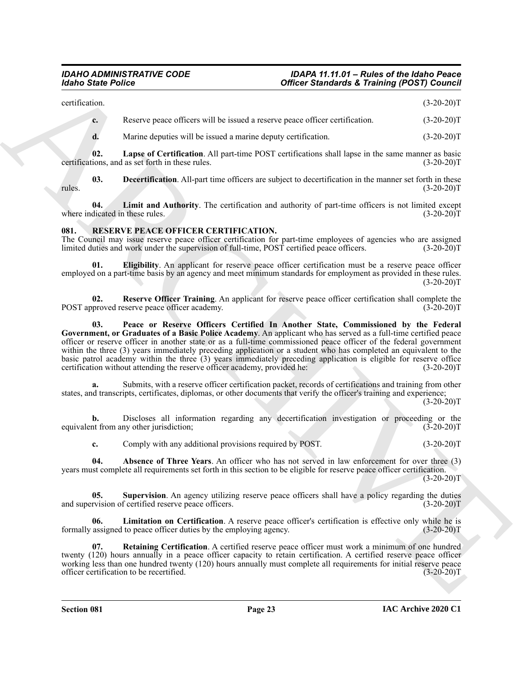certification. (3-20-20)T

**c.** Reserve peace officers will be issued a reserve peace officer certification.  $(3-20-20)T$ 

<span id="page-22-2"></span><span id="page-22-1"></span>**d.** Marine deputies will be issued a marine deputy certification. (3-20-20)T

**02.** Lapse of Certification. All part-time POST certifications shall lapse in the same manner as basic ions, and as set forth in these rules. (3-20-20) certifications, and as set forth in these rules.

**03.** Decertification. All-part time officers are subject to decertification in the manner set forth in these (3-20-20) rules.  $(3-20-20)T$ 

<span id="page-22-3"></span>**04. Limit and Authority**. The certification and authority of part-time officers is not limited except where indicated in these rules. (3-20-20)T

# <span id="page-22-4"></span><span id="page-22-0"></span>**081. RESERVE PEACE OFFICER CERTIFICATION.**

The Council may issue reserve peace officer certification for part-time employees of agencies who are assigned limited duties and work under the supervision of full-time, POST certified peace officers. (3-20-20)T

<span id="page-22-6"></span>**01. Eligibility**. An applicant for reserve peace officer certification must be a reserve peace officer employed on a part-time basis by an agency and meet minimum standards for employment as provided in these rules.  $(3-20-20)T$ 

<span id="page-22-9"></span><span id="page-22-8"></span>**02.** Reserve Officer Training. An applicant for reserve peace officer certification shall complete the pproved reserve peace officer academy. (3-20-20) POST approved reserve peace officer academy.

Globe State Police<br>
containing (POST) Counter of the state of the state of the state of the state of the state of the state of the state of the state of the state of the state of the state of the state of the state of the **03. Peace or Reserve Officers Certified In Another State, Commissioned by the Federal Government, or Graduates of a Basic Police Academy**. An applicant who has served as a full-time certified peace officer or reserve officer in another state or as a full-time commissioned peace officer of the federal government within the three (3) years immediately preceding application or a student who has completed an equivalent to the basic patrol academy within the three (3) years immediately preceding application is eligible for reserve office certification without attending the reserve officer academy, provided he: (3-20-20) certification without attending the reserve officer academy, provided he:

**a.** Submits, with a reserve officer certification packet, records of certifications and training from other states, and transcripts, certificates, diplomas, or other documents that verify the officer's training and experience;

 $(3-20-20)T$ 

**b.** Discloses all information regarding any decertification investigation or proceeding or the equivalent from any other jurisdiction; (3-20-20)T

<span id="page-22-11"></span><span id="page-22-5"></span>**c.** Comply with any additional provisions required by POST. (3-20-20)T

**04. Absence of Three Years**. An officer who has not served in law enforcement for over three (3) years must complete all requirements set forth in this section to be eligible for reserve peace officer certification.

 $(3-20-20)T$ 

**05. Supervision**. An agency utilizing reserve peace officers shall have a policy regarding the duties and supervision of certified reserve peace officers. (3-20-20)T

<span id="page-22-7"></span>Limitation on Certification. A reserve peace officer's certification is effective only while he is formally assigned to peace officer duties by the employing agency. (3-20-20)T

<span id="page-22-10"></span>**07. Retaining Certification**. A certified reserve peace officer must work a minimum of one hundred twenty (120) hours annually in a peace officer capacity to retain certification. A certified reserve peace officer working less than one hundred twenty (120) hours annually must complete all requirements for initial reserve peace<br>officer certification to be recertified. (3-20-20) officer certification to be recertified.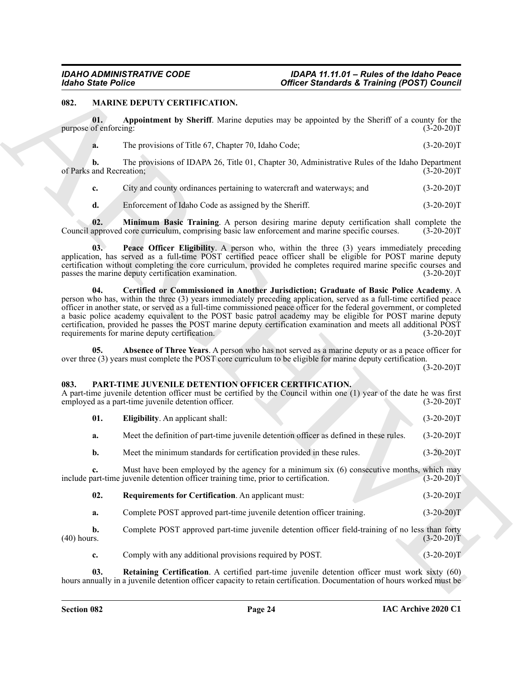### <span id="page-23-3"></span><span id="page-23-0"></span>**082. MARINE DEPUTY CERTIFICATION.**

<span id="page-23-7"></span><span id="page-23-6"></span><span id="page-23-5"></span>

| a. | The provisions of Title 67, Chapter 70, Idaho Code; | $(3-20-20)T$ |
|----|-----------------------------------------------------|--------------|
|----|-----------------------------------------------------|--------------|

#### <span id="page-23-11"></span><span id="page-23-10"></span><span id="page-23-9"></span><span id="page-23-8"></span><span id="page-23-4"></span><span id="page-23-2"></span><span id="page-23-1"></span>**083. PART-TIME JUVENILE DETENTION OFFICER CERTIFICATION.**

|                          | <b>Idaho State Police</b> |                                                                                                                                                                                                                                                                                                                                                                                                                                                                                                                                                                                                                           | <b>Officer Standards &amp; Training (POST) Council</b> |              |
|--------------------------|---------------------------|---------------------------------------------------------------------------------------------------------------------------------------------------------------------------------------------------------------------------------------------------------------------------------------------------------------------------------------------------------------------------------------------------------------------------------------------------------------------------------------------------------------------------------------------------------------------------------------------------------------------------|--------------------------------------------------------|--------------|
| 082.                     |                           | MARINE DEPUTY CERTIFICATION.                                                                                                                                                                                                                                                                                                                                                                                                                                                                                                                                                                                              |                                                        |              |
| purpose of enforcing:    | 01.                       | Appointment by Sheriff. Marine deputies may be appointed by the Sheriff of a county for the                                                                                                                                                                                                                                                                                                                                                                                                                                                                                                                               |                                                        | $(3-20-20)T$ |
|                          | a.                        | The provisions of Title 67, Chapter 70, Idaho Code;                                                                                                                                                                                                                                                                                                                                                                                                                                                                                                                                                                       |                                                        | $(3-20-20)T$ |
| of Parks and Recreation; | b.                        | The provisions of IDAPA 26, Title 01, Chapter 30, Administrative Rules of the Idaho Department                                                                                                                                                                                                                                                                                                                                                                                                                                                                                                                            |                                                        | $(3-20-20)T$ |
|                          | c.                        | City and county ordinances pertaining to watercraft and waterways; and                                                                                                                                                                                                                                                                                                                                                                                                                                                                                                                                                    |                                                        | $(3-20-20)T$ |
|                          | d.                        | Enforcement of Idaho Code as assigned by the Sheriff.                                                                                                                                                                                                                                                                                                                                                                                                                                                                                                                                                                     |                                                        | $(3-20-20)T$ |
|                          | 02.                       | Minimum Basic Training. A person desiring marine deputy certification shall complete the<br>Council approved core curriculum, comprising basic law enforcement and marine specific courses.                                                                                                                                                                                                                                                                                                                                                                                                                               |                                                        | $(3-20-20)T$ |
|                          | 03.                       | <b>Peace Officer Eligibility.</b> A person who, within the three (3) years immediately preceding<br>application, has served as a full-time POST certified peace officer shall be eligible for POST marine deputy<br>certification without completing the core curriculum, provided he completes required marine specific courses and<br>passes the marine deputy certification examination.                                                                                                                                                                                                                               |                                                        | $(3-20-20)T$ |
|                          | 04.                       | Certified or Commissioned in Another Jurisdiction; Graduate of Basic Police Academy. A<br>person who has, within the three (3) years immediately preceding application, served as a full-time certified peace<br>officer in another state, or served as a full-time commissioned peace officer for the federal government, or completed<br>a basic police academy equivalent to the POST basic patrol academy may be eligible for POST marine deputy<br>certification, provided he passes the POST marine deputy certification examination and meets all additional POST<br>requirements for marine deputy certification. |                                                        | $(3-20-20)T$ |
|                          | 05.                       | Absence of Three Years. A person who has not served as a marine deputy or as a peace officer for<br>over three (3) years must complete the POST core curriculum to be eligible for marine deputy certification.                                                                                                                                                                                                                                                                                                                                                                                                           |                                                        | $(3-20-20)T$ |
| 083.                     |                           | PART-TIME JUVENILE DETENTION OFFICER CERTIFICATION.<br>A part-time juvenile detention officer must be certified by the Council within one (1) year of the date he was first<br>employed as a part-time juvenile detention officer.                                                                                                                                                                                                                                                                                                                                                                                        |                                                        | $(3-20-20)T$ |
|                          | 01.                       | Eligibility. An applicant shall:                                                                                                                                                                                                                                                                                                                                                                                                                                                                                                                                                                                          |                                                        | $(3-20-20)T$ |
|                          | a.                        | Meet the definition of part-time juvenile detention officer as defined in these rules.                                                                                                                                                                                                                                                                                                                                                                                                                                                                                                                                    |                                                        | $(3-20-20)T$ |
|                          | b.                        | Meet the minimum standards for certification provided in these rules.                                                                                                                                                                                                                                                                                                                                                                                                                                                                                                                                                     |                                                        | $(3-20-20)T$ |
|                          | c.                        | Must have been employed by the agency for a minimum six (6) consecutive months, which may<br>include part-time juvenile detention officer training time, prior to certification.                                                                                                                                                                                                                                                                                                                                                                                                                                          |                                                        | $(3-20-20)T$ |
|                          | 02.                       | Requirements for Certification. An applicant must:                                                                                                                                                                                                                                                                                                                                                                                                                                                                                                                                                                        |                                                        | $(3-20-20)T$ |
|                          | a.                        | Complete POST approved part-time juvenile detention officer training.                                                                                                                                                                                                                                                                                                                                                                                                                                                                                                                                                     |                                                        | $(3-20-20)T$ |
| $(40)$ hours.            | $\mathbf{b}$ .            | Complete POST approved part-time juvenile detention officer field-training of no less than forty                                                                                                                                                                                                                                                                                                                                                                                                                                                                                                                          |                                                        | $(3-20-20)T$ |
|                          | c.                        | Comply with any additional provisions required by POST.                                                                                                                                                                                                                                                                                                                                                                                                                                                                                                                                                                   |                                                        | $(3-20-20)T$ |
|                          | 03.                       | Retaining Certification. A certified part-time juvenile detention officer must work sixty (60)                                                                                                                                                                                                                                                                                                                                                                                                                                                                                                                            |                                                        |              |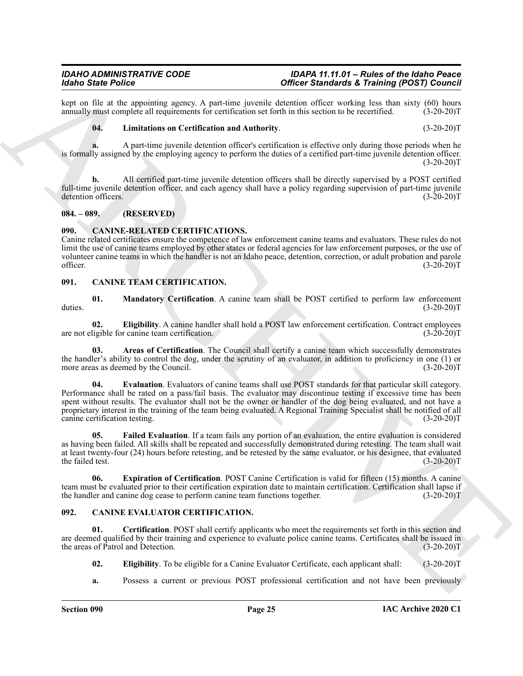kept on file at the appointing agency. A part-time juvenile detention officer working less than sixty (60) hours annually must complete all requirements for certification set forth in this section to be recertified. (3-20annually must complete all requirements for certification set forth in this section to be recertified.

### <span id="page-24-15"></span>**04. Limitations on Certification and Authority**. (3-20-20)T

**a.** A part-time juvenile detention officer's certification is effective only during those periods when he is formally assigned by the employing agency to perform the duties of a certified part-time juvenile detention officer.  $(3-20-20)$ T

**b.** All certified part-time juvenile detention officers shall be directly supervised by a POST certified full-time juvenile detention officer, and each agency shall have a policy regarding supervision of part-time juvenile detention officers. (3-20-20)T

### <span id="page-24-0"></span>**084. – 089. (RESERVED)**

# <span id="page-24-14"></span><span id="page-24-1"></span>**090. CANINE-RELATED CERTIFICATIONS.**

Canine related certificates ensure the competence of law enforcement canine teams and evaluators. These rules do not limit the use of canine teams employed by other states or federal agencies for law enforcement purposes, or the use of volunteer canine teams in which the handler is not an Idaho peace, detention, correction, or adult probation and parole officer.  $(3-20-20)T$ 

### <span id="page-24-7"></span><span id="page-24-2"></span>**091. CANINE TEAM CERTIFICATION.**

<span id="page-24-13"></span>**01. Mandatory Certification**. A canine team shall be POST certified to perform law enforcement (3-20-20) duties. (3-20-20)T

<span id="page-24-9"></span>**02. Eligibility**. A canine handler shall hold a POST law enforcement certification. Contract employees ligible for canine team certification. (3-20-20)T are not eligible for canine team certification.

<span id="page-24-10"></span><span id="page-24-8"></span>**03. Areas of Certification**. The Council shall certify a canine team which successfully demonstrates the handler's ability to control the dog, under the scrutiny of an evaluator, in addition to proficiency in one (1) or more areas as deemed by the Council. (3-20-20)T

Moto State Politics, particular and the transformation of the State State Counter and Archives (1963) (2007)<br>
And the filter positive and the state in the state of the state of the state of the state of the state of the s **04. Evaluation**. Evaluators of canine teams shall use POST standards for that particular skill category. Performance shall be rated on a pass/fail basis. The evaluator may discontinue testing if excessive time has been spent without results. The evaluator shall not be the owner or handler of the dog being evaluated, and not have a proprietary interest in the training of the team being evaluated. A Regional Training Specialist shall be notified of all canine certification testing. (3-20-20)T

<span id="page-24-12"></span>**05. Failed Evaluation**. If a team fails any portion of an evaluation, the entire evaluation is considered as having been failed. All skills shall be repeated and successfully demonstrated during retesting. The team shall wait at least twenty-four (24) hours before retesting, and be retested by the same evaluator, or his designee, that evaluated the failed test. (3-20-20)T

<span id="page-24-11"></span>**06. Expiration of Certification**. POST Canine Certification is valid for fifteen (15) months. A canine team must be evaluated prior to their certification expiration date to maintain certification. Certification shall lapse if the handler and canine dog cease to perform canine team functions together. (3-20-20)T

### <span id="page-24-4"></span><span id="page-24-3"></span>**092. CANINE EVALUATOR CERTIFICATION.**

**01. Certification**. POST shall certify applicants who meet the requirements set forth in this section and are deemed qualified by their training and experience to evaluate police canine teams. Certificates shall be issued in<br>(3-20-20)T (3-20-20)T the areas of Patrol and Detection.

- <span id="page-24-6"></span><span id="page-24-5"></span>**02. Eligibility**. To be eligible for a Canine Evaluator Certificate, each applicant shall: (3-20-20)T
- **a.** Possess a current or previous POST professional certification and not have been previously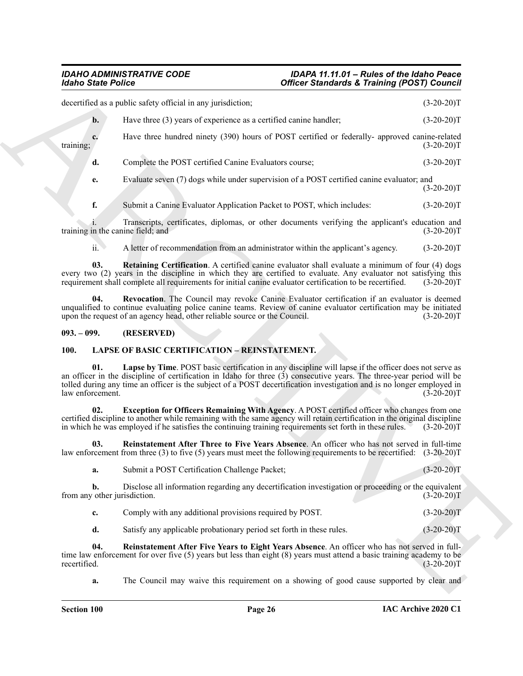**Since Poises**<br> **ARCHIVE Standards & Training (POST) Desired A.**<br>
Assumed to policie alternative and the standard and probability (2003)<br>
A Present and Operator and a method control and the standard and for the standard ( decertified as a public safety official in any jurisdiction; (3-20-20)T **b.** Have three (3) years of experience as a certified canine handler; (3-20-20)T **c.** Have three hundred ninety (390) hours of POST certified or federally- approved canine-related training; (3-20-20)T **d.** Complete the POST certified Canine Evaluators course; (3-20-20)T **e.** Evaluate seven (7) dogs while under supervision of a POST certified canine evaluator; and  $(3-20-20)T$ **f.** Submit a Canine Evaluator Application Packet to POST, which includes: (3-20-20)T

Transcripts, certificates, diplomas, or other documents verifying the applicant's education and ine field; and (3-20-20) training in the canine field; and

<span id="page-25-3"></span><span id="page-25-2"></span>ii. A letter of recommendation from an administrator within the applicant's agency. (3-20-20)T

**03. Retaining Certification**. A certified canine evaluator shall evaluate a minimum of four (4) dogs every two (2) years in the discipline in which they are certified to evaluate. Any evaluator not satisfying this requirement shall complete all requirements for initial canine evaluator certification to be recertified. (3requirement shall complete all requirements for initial canine evaluator certification to be recertified.

**04. Revocation**. The Council may revoke Canine Evaluator certification if an evaluator is deemed unqualified to continue evaluating police canine teams. Review of canine evaluator certification may be initiated upon the request of an agency head, other reliable source or the Council. (3-20-20) upon the request of an agency head, other reliable source or the Council.

#### <span id="page-25-0"></span>**093. – 099. (RESERVED)**

### <span id="page-25-6"></span><span id="page-25-4"></span><span id="page-25-1"></span>**100. LAPSE OF BASIC CERTIFICATION – REINSTATEMENT.**

**Lapse by Time**. POST basic certification in any discipline will lapse if the officer does not serve as an officer in the discipline of certification in Idaho for three (3) consecutive years. The three-year period will be tolled during any time an officer is the subject of a POST decertification investigation and is no longer employed in<br>(3-20-20)T law enforcement.

<span id="page-25-5"></span>**02. Exception for Officers Remaining With Agency**. A POST certified officer who changes from one certified discipline to another while remaining with the same agency will retain certification in the original discipline in which he was employed if he satisfies the continuing training requirements set forth in these rules. (3-20-20)T

**03. Reinstatement After Three to Five Years Absence**. An officer who has not served in full-time law enforcement from three (3) to five (5) years must meet the following requirements to be recertified: (3-20-20)T

<span id="page-25-8"></span>**a.** Submit a POST Certification Challenge Packet; (3-20-20)T

**b.** Disclose all information regarding any decertification investigation or proceeding or the equivalent from any other jurisdiction. (3-20-20)<sup>T</sup> (3-20-20)<sup>T</sup>

**c.** Comply with any additional provisions required by POST. (3-20-20)T

<span id="page-25-7"></span>**d.** Satisfy any applicable probationary period set forth in these rules. (3-20-20)T

**04. Reinstatement After Five Years to Eight Years Absence**. An officer who has not served in fulltime law enforcement for over five (5) years but less than eight (8) years must attend a basic training academy to be recertified. (3-20-20)T recertified. (3-20-20)T

**a.** The Council may waive this requirement on a showing of good cause supported by clear and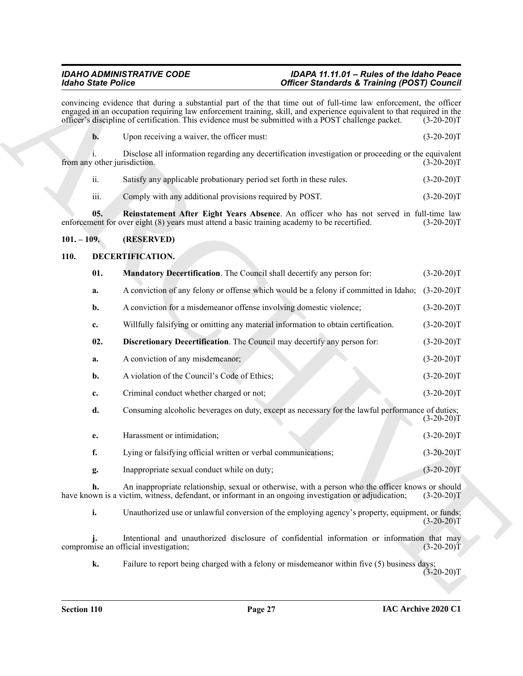<span id="page-26-5"></span><span id="page-26-4"></span><span id="page-26-3"></span><span id="page-26-2"></span><span id="page-26-1"></span><span id="page-26-0"></span>

|                              | convincing evidence that during a substantial part of the that time out of full-time law enforcement, the officer<br>engaged in an occupation requiring law enforcement training, skill, and experience equivalent to that required in the<br>officer's discipline of certification. This evidence must be submitted with a POST challenge packet. | $(3-20-20)T$ |
|------------------------------|----------------------------------------------------------------------------------------------------------------------------------------------------------------------------------------------------------------------------------------------------------------------------------------------------------------------------------------------------|--------------|
| b.                           | Upon receiving a waiver, the officer must:                                                                                                                                                                                                                                                                                                         | $(3-20-20)T$ |
| from any other jurisdiction. | Disclose all information regarding any decertification investigation or proceeding or the equivalent                                                                                                                                                                                                                                               | $(3-20-20)T$ |
| ii.                          | Satisfy any applicable probationary period set forth in these rules.                                                                                                                                                                                                                                                                               | $(3-20-20)T$ |
| iii.                         | Comply with any additional provisions required by POST.                                                                                                                                                                                                                                                                                            | $(3-20-20)T$ |
| 05.                          | Reinstatement After Eight Years Absence. An officer who has not served in full-time law<br>enforcement for over eight (8) years must attend a basic training academy to be recertified.                                                                                                                                                            | $(3-20-20)T$ |
| $101. - 109.$                | (RESERVED)                                                                                                                                                                                                                                                                                                                                         |              |
| 110.                         | DECERTIFICATION.                                                                                                                                                                                                                                                                                                                                   |              |
| 01.                          | Mandatory Decertification. The Council shall decertify any person for:                                                                                                                                                                                                                                                                             | $(3-20-20)T$ |
| a.                           | A conviction of any felony or offense which would be a felony if committed in Idaho;                                                                                                                                                                                                                                                               | $(3-20-20)T$ |
| b.                           | A conviction for a misdemeanor offense involving domestic violence;                                                                                                                                                                                                                                                                                | $(3-20-20)T$ |
| c.                           | Willfully falsifying or omitting any material information to obtain certification.                                                                                                                                                                                                                                                                 | $(3-20-20)T$ |
| 02.                          | Discretionary Decertification. The Council may decertify any person for:                                                                                                                                                                                                                                                                           | $(3-20-20)T$ |
| a.                           | A conviction of any misdemeanor;                                                                                                                                                                                                                                                                                                                   | $(3-20-20)T$ |
| b.                           | A violation of the Council's Code of Ethics;                                                                                                                                                                                                                                                                                                       | $(3-20-20)T$ |
| c.                           | Criminal conduct whether charged or not;                                                                                                                                                                                                                                                                                                           | $(3-20-20)T$ |
| d.                           | Consuming alcoholic beverages on duty, except as necessary for the lawful performance of duties;                                                                                                                                                                                                                                                   | $(3-20-20)T$ |
| е.                           | Harassment or intimidation;                                                                                                                                                                                                                                                                                                                        | $(3-20-20)T$ |
| f.                           | Lying or falsifying official written or verbal communications;                                                                                                                                                                                                                                                                                     | $(3-20-20)T$ |
| g.                           | Inappropriate sexual conduct while on duty;                                                                                                                                                                                                                                                                                                        | $(3-20-20)T$ |
| h.                           | An inappropriate relationship, sexual or otherwise, with a person who the officer knows or should<br>have known is a victim, witness, defendant, or informant in an ongoing investigation or adjudication;                                                                                                                                         | $(3-20-20)T$ |
| i.                           | Unauthorized use or unlawful conversion of the employing agency's property, equipment, or funds;                                                                                                                                                                                                                                                   | $(3-20-20)T$ |
|                              | Intentional and unauthorized disclosure of confidential information or information that may<br>compromise an official investigation;                                                                                                                                                                                                               | $(3-20-20)T$ |
| k.                           | Failure to report being charged with a felony or misdemeanor within five (5) business days;                                                                                                                                                                                                                                                        | $(3-20-20)T$ |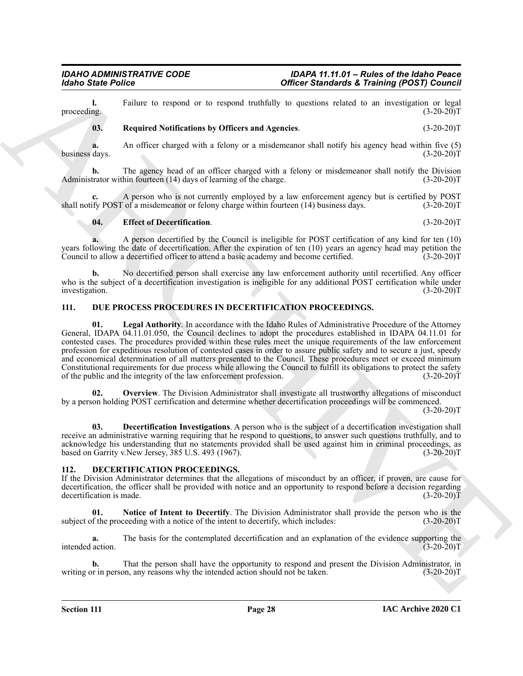**l.** Failure to respond or to respond truthfully to questions related to an investigation or legal proceeding. (3-20-20)T proceeding.  $(3-20-20)T$ 

### <span id="page-27-3"></span>**03. Required Notifications by Officers and Agencies**. (3-20-20)T

**a.** An officer charged with a felony or a misdemeanor shall notify his agency head within five (5) days.  $(3-20-20)T$ business days.

**b.** The agency head of an officer charged with a felony or misdemeanor shall notify the Division Administrator within fourteen (14) days of learning of the charge. (3-20-20)T

A person who is not currently employed by a law enforcement agency but is certified by POST of a misdemeanor or felony charge within fourteen (14) business days. (3-20-20)T shall notify POST of a misdemeanor or felony charge within fourteen  $(14)$  business days.

### <span id="page-27-2"></span>**04. Effect of Decertification**. (3-20-20)T

**a.** A person decertified by the Council is ineligible for POST certification of any kind for ten (10) years following the date of decertification. After the expiration of ten (10) years an agency head may petition the Council to allow a decertified officer to attend a basic academy and become certified. (3-20-20)T

**b.** No decertified person shall exercise any law enforcement authority until recertified. Any officer who is the subject of a decertification investigation is ineligible for any additional POST certification while under<br>(3-20-20)T investigation. (3-20-20)T

### <span id="page-27-8"></span><span id="page-27-6"></span><span id="page-27-0"></span>**111. DUE PROCESS PROCEDURES IN DECERTIFICATION PROCEEDINGS.**

Models State Police<br>
ynocaling action to a rayspan or be responsible that the control of the Chinacter Control of the Chinacter Control of the Chinacter Control of the Chinacter Control of the Chinacter Control of the Chi **01. Legal Authority**. In accordance with the Idaho Rules of Administrative Procedure of the Attorney General, IDAPA 04.11.01.050, the Council declines to adopt the procedures established in IDAPA 04.11.01 for contested cases. The procedures provided within these rules meet the unique requirements of the law enforcement profession for expeditious resolution of contested cases in order to assure public safety and to secure a just, speedy and economical determination of all matters presented to the Council. These procedures meet or exceed minimum Constitutional requirements for due process while allowing the Council to fulfill its obligations to protect the safety of the public and the integrity of the law enforcement profession. (3-20-20)T

<span id="page-27-9"></span>**Overview**. The Division Administrator shall investigate all trustworthy allegations of misconduct by a person holding POST certification and determine whether decertification proceedings will be commenced.

 $(3-20-20)T$ 

<span id="page-27-7"></span>**03. Decertification Investigations**. A person who is the subject of a decertification investigation shall receive an administrative warning requiring that he respond to questions, to answer such questions truthfully, and to acknowledge his understanding that no statements provided shall be used against him in criminal proceedings, as based on Garrity v.New Jersey, 385 U.S. 493 (1967). (3-20-20) T

### <span id="page-27-4"></span><span id="page-27-1"></span>**112. DECERTIFICATION PROCEEDINGS.**

If the Division Administrator determines that the allegations of misconduct by an officer, if proven, are cause for decertification, the officer shall be provided with notice and an opportunity to respond before a decision regarding decertification is made. (3-20-20)T

<span id="page-27-5"></span>**01.** Notice of Intent to Decertify. The Division Administrator shall provide the person who is the of the proceeding with a notice of the intent to decertify, which includes: (3-20-20) subject of the proceeding with a notice of the intent to decertify, which includes:

**a.** The basis for the contemplated decertification and an explanation of the evidence supporting the intended action. (3-20-20)T

**b.** That the person shall have the opportunity to respond and present the Division Administrator, in or in person, any reasons why the intended action should not be taken. (3-20-20) writing or in person, any reasons why the intended action should not be taken.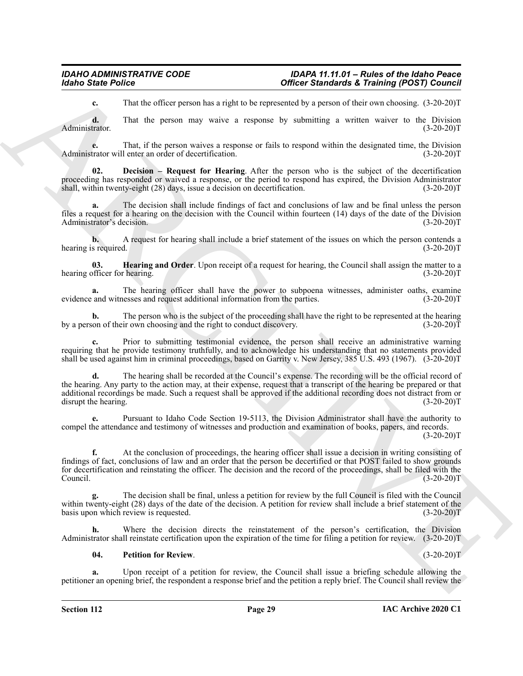**c.** That the officer person has a right to be represented by a person of their own choosing. (3-20-20)T

**d.** That the person may waive a response by submitting a written waiver to the Division trator. (3-20-20) Administrator.

**e.** That, if the person waives a response or fails to respond within the designated time, the Division trator will enter an order of decertification. (3-20-20) Administrator will enter an order of decertification.

<span id="page-28-0"></span>**02. Decision – Request for Hearing**. After the person who is the subject of the decertification proceeding has responded or waived a response, or the period to respond has expired, the Division Administrator shall, within twenty-eight (28) days, issue a decision on decertification. (3-20-20)T

**a.** The decision shall include findings of fact and conclusions of law and be final unless the person files a request for a hearing on the decision with the Council within fourteen (14) days of the date of the Division Administrator's decision. (3-20-20)T

**b.** A request for hearing shall include a brief statement of the issues on which the person contends a hearing is required. (3-20-20)T

<span id="page-28-1"></span>**03. Hearing and Order**. Upon receipt of a request for hearing, the Council shall assign the matter to a officer for hearing. (3-20-20) hearing officer for hearing.

**a.** The hearing officer shall have the power to subpoena witnesses, administer oaths, examine evidence and witnesses and request additional information from the parties. (3-20-20)T

**b.** The person who is the subject of the proceeding shall have the right to be represented at the hearing son of their own choosing and the right to conduct discovery. (3-20-20)<sup>T</sup> by a person of their own choosing and the right to conduct discovery.

Prior to submitting testimonial evidence, the person shall receive an administrative warning requiring that he provide testimony truthfully, and to acknowledge his understanding that no statements provided shall be used against him in criminal proceedings, based on Garrity v. New Jersey, 385 U.S. 493 (1967). (3-20-20)T

Monito State Police<br>
Their States States States of the States States of the States States of Theorem 2018 (Section 2018)<br>
The this state will also be a state of the State State State State State State State State State St The hearing shall be recorded at the Council's expense. The recording will be the official record of the hearing. Any party to the action may, at their expense, request that a transcript of the hearing be prepared or that additional recordings be made. Such a request shall be approved if the additional recording does not distract from or disrupt the hearing. (3-20-20)T

**e.** Pursuant to Idaho Code Section 19-5113, the Division Administrator shall have the authority to compel the attendance and testimony of witnesses and production and examination of books, papers, and records.  $(3-20-20)T$ 

**f.** At the conclusion of proceedings, the hearing officer shall issue a decision in writing consisting of findings of fact, conclusions of law and an order that the person be decertified or that POST failed to show grounds for decertification and reinstating the officer. The decision and the record of the proceedings, shall be filed with the Council. (3-20-20)T

**g.** The decision shall be final, unless a petition for review by the full Council is filed with the Council within twenty-eight (28) days of the date of the decision. A petition for review shall include a brief statement of the basis upon which review is requested. (3-20-20) basis upon which review is requested.

**h.** Where the decision directs the reinstatement of the person's certification, the Division Administrator shall reinstate certification upon the expiration of the time for filing a petition for review. (3-20-20)T

#### <span id="page-28-2"></span>**04. Petition for Review**. (3-20-20)T

**a.** Upon receipt of a petition for review, the Council shall issue a briefing schedule allowing the petitioner an opening brief, the respondent a response brief and the petition a reply brief. The Council shall review the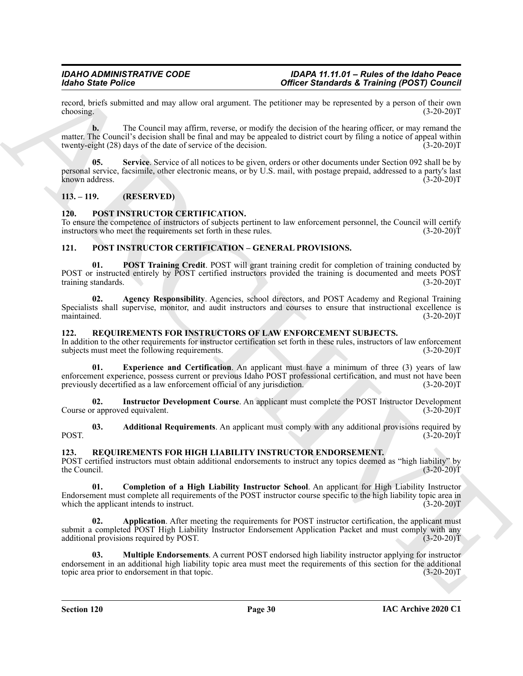record, briefs submitted and may allow oral argument. The petitioner may be represented by a person of their own choosing. (3-20-20)T choosing. (3-20-20)T

<span id="page-29-5"></span>**b.** The Council may affirm, reverse, or modify the decision of the hearing officer, or may remand the matter. The Council's decision shall be final and may be appealed to district court by filing a notice of appeal within twenty-eight (28) days of the date of service of the decision. (3-20-20)T

Grab Startes Poises<br>
Consider the Constitute Affinite Startes Startes of Training (POST) Counter and<br>
Record that the point of the constitute Affinite Startes and Constitute Exploration (19) and the constitute Affinite St **05. Service**. Service of all notices to be given, orders or other documents under Section 092 shall be by personal service, facsimile, other electronic means, or by U.S. mail, with postage prepaid, addressed to a party's last known address. (3-20-20)T

# <span id="page-29-0"></span>**113. – 119. (RESERVED)**

### <span id="page-29-6"></span><span id="page-29-1"></span>**120. POST INSTRUCTOR CERTIFICATION.**

To ensure the competence of instructors of subjects pertinent to law enforcement personnel, the Council will certify instructors who meet the requirements set forth in these rules. (3-20-20) instructors who meet the requirements set forth in these rules.

### <span id="page-29-7"></span><span id="page-29-2"></span>**121. POST INSTRUCTOR CERTIFICATION – GENERAL PROVISIONS.**

<span id="page-29-9"></span>**01. POST Training Credit**. POST will grant training credit for completion of training conducted by POST or instructed entirely by POST certified instructors provided the training is documented and meets POST training standards. (3-20-20)T training standards.

<span id="page-29-8"></span>**02. Agency Responsibility**. Agencies, school directors, and POST Academy and Regional Training Specialists shall supervise, monitor, and audit instructors and courses to ensure that instructional excellence is maintained. (3-20-20) maintained. (3-20-20)T

### <span id="page-29-14"></span><span id="page-29-3"></span>**122. REQUIREMENTS FOR INSTRUCTORS OF LAW ENFORCEMENT SUBJECTS.**

In addition to the other requirements for instructor certification set forth in these rules, instructors of law enforcement subjects must meet the following requirements. (3-20-20)T

<span id="page-29-16"></span>**01. Experience and Certification**. An applicant must have a minimum of three (3) years of law enforcement experience, possess current or previous Idaho POST professional certification, and must not have been previously decertified as a law enforcement official of any jurisdiction. (3-20-20)T

<span id="page-29-17"></span>**02. Instructor Development Course**. An applicant must complete the POST Instructor Development Course or approved equivalent.

<span id="page-29-15"></span>**03.** Additional Requirements. An applicant must comply with any additional provisions required by (3-20-20)T POST.  $(3-20-20)T$ 

### <span id="page-29-10"></span><span id="page-29-4"></span>**123. REQUIREMENTS FOR HIGH LIABILITY INSTRUCTOR ENDORSEMENT.**

POST certified instructors must obtain additional endorsements to instruct any topics deemed as "high liability" by the Council. (3-20-20)T the Council.  $(3-20-20)T$ 

<span id="page-29-12"></span>**01. Completion of a High Liability Instructor School**. An applicant for High Liability Instructor Endorsement must complete all requirements of the POST instructor course specific to the high liability topic area in which the applicant intends to instruct. (3-20-20)T

<span id="page-29-11"></span>**02. Application**. After meeting the requirements for POST instructor certification, the applicant must submit a completed POST High Liability Instructor Endorsement Application Packet and must comply with any additional provisions required by POST. (3-20-20)T

<span id="page-29-13"></span>**03. Multiple Endorsements**. A current POST endorsed high liability instructor applying for instructor endorsement in an additional high liability topic area must meet the requirements of this section for the additional topic area prior to endorsement in that topic. (3-20-20) topic area prior to endorsement in that topic.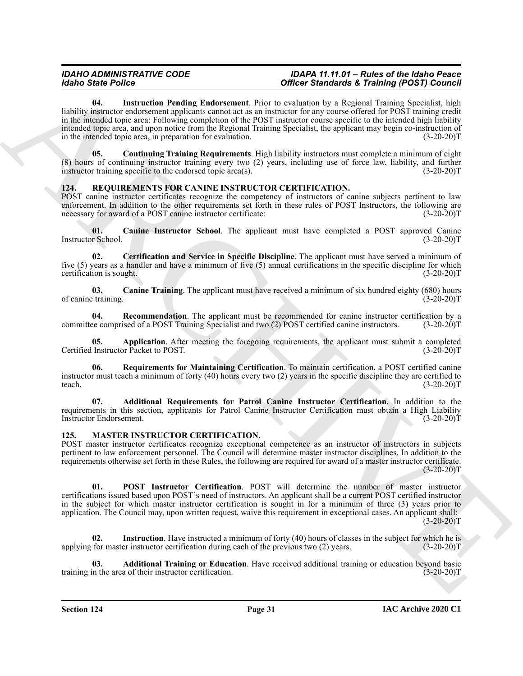Model State Points of the main state in the state of the State State of the State China (State Points) and the state of the state of the state of the state of the state of the state of the state of the state of the state **04. Instruction Pending Endorsement**. Prior to evaluation by a Regional Training Specialist, high liability instructor endorsement applicants cannot act as an instructor for any course offered for POST training credit in the intended topic area: Following completion of the POST instructor course specific to the intended high liability intended topic area, and upon notice from the Regional Training Specialist, the applicant may begin co-instruction of in the intended topic area, in preparation for evaluation. (3-20-20)T

<span id="page-30-15"></span><span id="page-30-14"></span>**05. Continuing Training Requirements**. High liability instructors must complete a minimum of eight (8) hours of continuing instructor training every two (2) years, including use of force law, liability, and further instructor training specific to the endorsed topic area(s).  $(3-20-20)T$ 

### <span id="page-30-6"></span><span id="page-30-0"></span>**124. REQUIREMENTS FOR CANINE INSTRUCTOR CERTIFICATION.**

POST canine instructor certificates recognize the competency of instructors of canine subjects pertinent to law enforcement. In addition to the other requirements set forth in these rules of POST Instructors, the following are necessary for award of a POST canine instructor certificate: (3-20-20)T

<span id="page-30-9"></span>**01.** Canine Instructor School. The applicant must have completed a POST approved Canine r School. (3-20-20)T Instructor School.

<span id="page-30-11"></span>**02. Certification and Service in Specific Discipline**. The applicant must have served a minimum of five (5) years as a handler and have a minimum of five (5) annual certifications in the specific discipline for which certification is sought. (3-20-20)T

<span id="page-30-10"></span>**03. Canine Training**. The applicant must have received a minimum of six hundred eighty (680) hours of canine training. (3-20-20)T

<span id="page-30-12"></span>**04. Recommendation**. The applicant must be recommended for canine instructor certification by a committee comprised of a POST Training Specialist and two (2) POST certified canine instructors. (3-20-20)T

<span id="page-30-8"></span>**05. Application**. After meeting the foregoing requirements, the applicant must submit a completed Certified Instructor Packet to POST. (3-20-20)T

<span id="page-30-13"></span>**06. Requirements for Maintaining Certification**. To maintain certification, a POST certified canine instructor must teach a minimum of forty (40) hours every two (2) years in the specific discipline they are certified to teach.  $(3-20-20)T$ 

<span id="page-30-7"></span>**07. Additional Requirements for Patrol Canine Instructor Certification**. In addition to the requirements in this section, applicants for Patrol Canine Instructor Certification must obtain a High Liability Instructor Endorsement. (3-20-20)T

### <span id="page-30-2"></span><span id="page-30-1"></span>**125. MASTER INSTRUCTOR CERTIFICATION.**

POST master instructor certificates recognize exceptional competence as an instructor of instructors in subjects pertinent to law enforcement personnel. The Council will determine master instructor disciplines. In addition to the requirements otherwise set forth in these Rules, the following are required for award of a master instructor certificate.  $(3-20-20)T$ 

<span id="page-30-5"></span>**01. POST Instructor Certification**. POST will determine the number of master instructor certifications issued based upon POST's need of instructors. An applicant shall be a current POST certified instructor in the subject for which master instructor certification is sought in for a minimum of three (3) years prior to application. The Council may, upon written request, waive this requirement in exceptional cases. An applicant shall:  $(3-20-20)T$ 

<span id="page-30-4"></span>**Instruction**. Have instructed a minimum of forty (40) hours of classes in the subject for which he is applying for master instructor certification during each of the previous two (2) years. (3-20-20)T

<span id="page-30-3"></span>**03. Additional Training or Education**. Have received additional training or education beyond basic in the area of their instructor certification. (3-20-20)T training in the area of their instructor certification.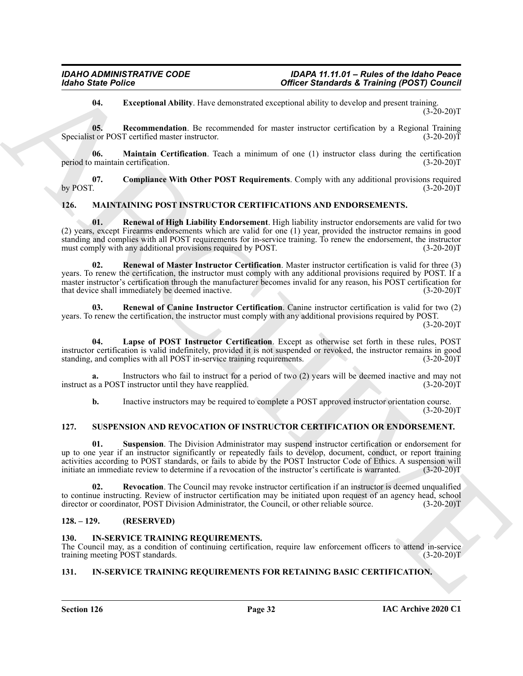<span id="page-31-15"></span><span id="page-31-14"></span><span id="page-31-13"></span>**04. Exceptional Ability**. Have demonstrated exceptional ability to develop and present training.  $(3-20-20)T$ 

**05. Recommendation**. Be recommended for master instructor certification by a Regional Training Specialist or POST certified master instructor. (3-20-20) T

**06.** Maintain Certification. Teach a minimum of one (1) instructor class during the certification maintain certification. (3-20-20) period to maintain certification.

<span id="page-31-12"></span>**07. Compliance With Other POST Requirements**. Comply with any additional provisions required by POST. (3-20-20)T by POST.  $(3-20-20)T$ 

### <span id="page-31-10"></span><span id="page-31-7"></span><span id="page-31-0"></span>**126. MAINTAINING POST INSTRUCTOR CERTIFICATIONS AND ENDORSEMENTS.**

<span id="page-31-11"></span>**01. Renewal of High Liability Endorsement**. High liability instructor endorsements are valid for two (2) years, except Firearms endorsements which are valid for one (1) year, provided the instructor remains in good standing and complies with all POST requirements for in-service training. To renew the endorsement, the instructor must comply with any additional provisions required by POST. (3-20-20)T

Monito State Police<br>
Lacentering Monito State Police Stateshotel completes Stateshotel consideration (SSS) 2010<br>
Specifical Resources and the maximum of the Hiver Consideration (SSS) 2011<br>
Specifical Resources and the max **02. Renewal of Master Instructor Certification**. Master instructor certification is valid for three (3) years. To renew the certification, the instructor must comply with any additional provisions required by POST. If a master instructor's certification through the manufacturer becomes invalid for any reason, his POST certification for<br>(3-20-20)T (3-20-20)T that device shall immediately be deemed inactive.

<span id="page-31-9"></span>**03. Renewal of Canine Instructor Certification**. Canine instructor certification is valid for two (2) years. To renew the certification, the instructor must comply with any additional provisions required by POST.  $(3-20-20)T$ 

<span id="page-31-8"></span>**04. Lapse of POST Instructor Certification**. Except as otherwise set forth in these rules, POST instructor certification is valid indefinitely, provided it is not suspended or revoked, the instructor remains in good standing, and complies with all POST in-service training requirements. (3-20-20) standing, and complies with all POST in-service training requirements.

**a.** Instructors who fail to instruct for a period of two (2) years will be deemed inactive and may not instruct as a POST instructor until they have reapplied. (3-20-20)T

<span id="page-31-16"></span>**b.** Inactive instructors may be required to complete a POST approved instructor orientation course.  $(3-20-20)$ T

### <span id="page-31-1"></span>**127. SUSPENSION AND REVOCATION OF INSTRUCTOR CERTIFICATION OR ENDORSEMENT.**

**01. Suspension**. The Division Administrator may suspend instructor certification or endorsement for up to one year if an instructor significantly or repeatedly fails to develop, document, conduct, or report training activities according to POST standards, or fails to abide by the POST Instructor Code of Ethics. A suspension will<br>initiate an immediate review to determine if a revocation of the instructor's certificate is warranted. (3initiate an immediate review to determine if a revocation of the instructor's certificate is warranted.

**02. Revocation**. The Council may revoke instructor certification if an instructor is deemed unqualified to continue instructing. Review of instructor certification may be initiated upon request of an agency head, school director or coordinator, POST Division Administrator, the Council, or other reliable source. (3-20-20)T

### <span id="page-31-2"></span>**128. – 129. (RESERVED)**

### <span id="page-31-5"></span><span id="page-31-3"></span>**130. IN-SERVICE TRAINING REQUIREMENTS.**

The Council may, as a condition of continuing certification, require law enforcement officers to attend in-service training meeting POST standards. (3-20-20)T

### <span id="page-31-6"></span><span id="page-31-4"></span>**131. IN-SERVICE TRAINING REQUIREMENTS FOR RETAINING BASIC CERTIFICATION.**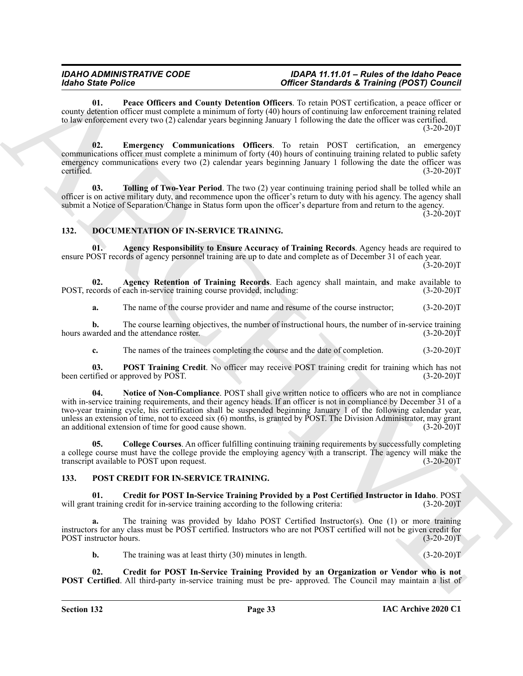<span id="page-32-9"></span>**01. Peace Officers and County Detention Officers**. To retain POST certification, a peace officer or county detention officer must complete a minimum of forty (40) hours of continuing law enforcement training related to law enforcement every two (2) calendar years beginning January 1 following the date the officer was certified.  $(3-20-20)T$ 

<span id="page-32-8"></span>**02. Emergency Communications Officers**. To retain POST certification, an emergency communications officer must complete a minimum of forty (40) hours of continuing training related to public safety emergency communications every two (2) calendar years beginning January 1 following the date the officer was certified. (3-20-20)T

<span id="page-32-10"></span>**03. Tolling of Two-Year Period**. The two (2) year continuing training period shall be tolled while an officer is on active military duty, and recommence upon the officer's return to duty with his agency. The agency shall submit a Notice of Separation/Change in Status form upon the officer's departure from and return to the agency.

 $(3-20-20)$ T

### <span id="page-32-2"></span><span id="page-32-0"></span>**132. DOCUMENTATION OF IN-SERVICE TRAINING.**

<span id="page-32-3"></span>**01. Agency Responsibility to Ensure Accuracy of Training Records**. Agency heads are required to ensure POST records of agency personnel training are up to date and complete as of December 31 of each year.  $(3-20-20)$ T

**02.** Agency Retention of Training Records. Each agency shall maintain, and make available to ecords of each in-service training course provided, including: (3-20-20) POST, records of each in-service training course provided, including:

<span id="page-32-4"></span>**a.** The name of the course provider and name and resume of the course instructor; (3-20-20)T

**b.** The course learning objectives, the number of instructional hours, the number of in-service training varded and the attendance roster. (3-20-20) hours awarded and the attendance roster.

<span id="page-32-7"></span><span id="page-32-6"></span>**c.** The names of the trainees completing the course and the date of completion.  $(3-20-20)T$ 

**03. POST Training Credit**. No officer may receive POST training credit for training which has not been certified or approved by POST. (3-20-20)T

Models State Policies and County Details of Biford State State State State State County of State State State State State State State State State State State State State State State State State State State State State Sta **04. Notice of Non-Compliance**. POST shall give written notice to officers who are not in compliance with in-service training requirements, and their agency heads. If an officer is not in compliance by December 31 of a two-year training cycle, his certification shall be suspended beginning January 1 of the following calendar year, unless an extension of time, not to exceed six (6) months, is granted by POST. The Division Administrator, may grant an additional extension of time for good cause shown. (3-20-20)T

<span id="page-32-5"></span>**05. College Courses**. An officer fulfilling continuing training requirements by successfully completing a college course must have the college provide the employing agency with a transcript. The agency will make the transcript available to POST upon request. (3-20-20)T

### <span id="page-32-11"></span><span id="page-32-1"></span>**133. POST CREDIT FOR IN-SERVICE TRAINING.**

<span id="page-32-12"></span>**01. Credit for POST In-Service Training Provided by a Post Certified Instructor in Idaho**. POST will grant training credit for in-service training according to the following criteria: (3-20-20)T

**a.** The training was provided by Idaho POST Certified Instructor(s). One (1) or more training instructors for any class must be POST certified. Instructors who are not POST certified will not be given credit for POST instructor hours. (3-20-20)T

<span id="page-32-13"></span>**b.** The training was at least thirty (30) minutes in length. (3-20-20) T

**02. Credit for POST In-Service Training Provided by an Organization or Vendor who is not POST Certified**. All third-party in-service training must be pre- approved. The Council may maintain a list of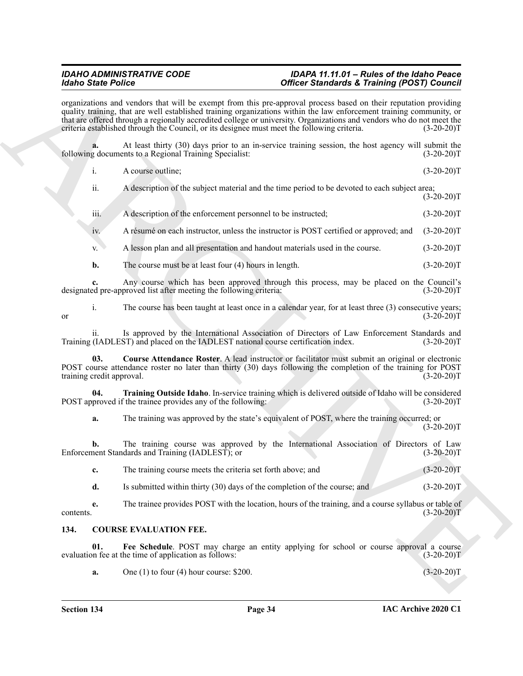Moto Sinfer Points on the state that the state of the state of the state of the state of the state of the state of the state of the state of the state of the state of the state of the state of the state of the state of th organizations and vendors that will be exempt from this pre-approval process based on their reputation providing quality training, that are well established training organizations within the law enforcement training community, or that are offered through a regionally accredited college or university. Organizations and vendors who do not meet the criteria established through the Council, or its designee must meet the following criteria. (3-20-20) criteria established through the Council, or its designee must meet the following criteria.

At least thirty (30) days prior to an in-service training session, the host agency will submit the ents to a Regional Training Specialist: (3-20-20)<sup>T</sup> following documents to a Regional Training Specialist:

| A course outline: | $(3-20-20)T$ |
|-------------------|--------------|
|-------------------|--------------|

ii. A description of the subject material and the time period to be devoted to each subject area;  $(3-20-20)T$ 

iii. A description of the enforcement personnel to be instructed; (3-20-20)T

iv. A résumé on each instructor, unless the instructor is POST certified or approved; and (3-20-20)T

v. A lesson plan and all presentation and handout materials used in the course. (3-20-20)T

**b.** The course must be at least four (4) hours in length. (3-20-20)T

**c.** Any course which has been approved through this process, may be placed on the Council's ed pre-approved list after meeting the following criteria: (3-20-20) designated pre-approved list after meeting the following criteria:

i. The course has been taught at least once in a calendar year, for at least three (3) consecutive years;<br>(3-20-20)T or  $(3-20-20)T$ 

ii. Is approved by the International Association of Directors of Law Enforcement Standards and (IADLEST) and placed on the IADLEST national course certification index. (3-20-20)T Training (IADLEST) and placed on the IADLEST national course certification index.

<span id="page-33-3"></span>**03. Course Attendance Roster**. A lead instructor or facilitator must submit an original or electronic POST course attendance roster no later than thirty (30) days following the completion of the training for POST training credit approval. (3-20-20)T

**04. Training Outside Idaho**. In-service training which is delivered outside of Idaho will be considered POST approved if the trainee provides any of the following: (3-20-20)T

<span id="page-33-4"></span>**a.** The training was approved by the state's equivalent of POST, where the training occurred; or  $(3-20-20)T$ 

**b.** The training course was approved by the International Association of Directors of Law Enforcement Standards and Training (IADLEST); or (3-20-20)T

**c.** The training course meets the criteria set forth above; and  $(3-20-20)$ T

**d.** Is submitted within thirty (30) days of the completion of the course; and (3-20-20)T

**e.** The trainee provides POST with the location, hours of the training, and a course syllabus or table of (3-20-20) contents. (3-20-20)T

### <span id="page-33-1"></span><span id="page-33-0"></span>**134. COURSE EVALUATION FEE.**

**01. Fee Schedule**. POST may charge an entity applying for school or course approval a course evaluation fee at the time of application as follows: (3-20-20)T

<span id="page-33-2"></span>**a.** One (1) to four (4) hour course: \$200. (3-20-20)T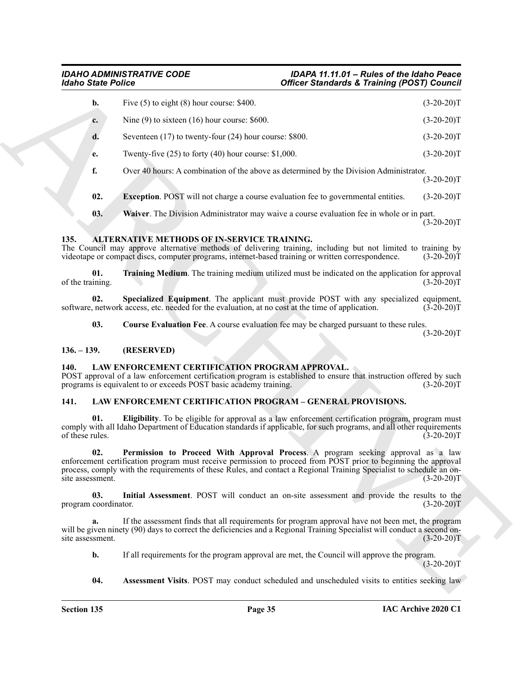| <b>Idaho State Police</b>   |                                                                                                                                                                                                                                                                                                                           | <b>Officer Standards &amp; Training (POST) Council</b> |
|-----------------------------|---------------------------------------------------------------------------------------------------------------------------------------------------------------------------------------------------------------------------------------------------------------------------------------------------------------------------|--------------------------------------------------------|
| b.                          | Five $(5)$ to eight $(8)$ hour course: \$400.                                                                                                                                                                                                                                                                             | $(3-20-20)T$                                           |
| c.                          | Nine $(9)$ to sixteen $(16)$ hour course: \$600.                                                                                                                                                                                                                                                                          | $(3-20-20)T$                                           |
| d.                          | Seventeen $(17)$ to twenty-four $(24)$ hour course: \$800.                                                                                                                                                                                                                                                                | $(3-20-20)T$                                           |
| е.                          | Twenty-five $(25)$ to forty $(40)$ hour course: \$1,000.                                                                                                                                                                                                                                                                  | $(3-20-20)T$                                           |
| f.                          | Over 40 hours: A combination of the above as determined by the Division Administrator.                                                                                                                                                                                                                                    | $(3-20-20)T$                                           |
| 02.                         | <b>Exception</b> . POST will not charge a course evaluation fee to governmental entities.                                                                                                                                                                                                                                 | $(3-20-20)T$                                           |
| 03.                         | <b>Waiver</b> . The Division Administrator may waive a course evaluation fee in whole or in part.                                                                                                                                                                                                                         | $(3-20-20)T$                                           |
| 135.                        | ALTERNATIVE METHODS OF IN-SERVICE TRAINING.<br>The Council may approve alternative methods of delivering training, including but not limited to training by<br>videotape or compact discs, computer programs, internet-based training or written correspondence.                                                          | $(3-20-20)T$                                           |
| 01.<br>of the training.     | Training Medium. The training medium utilized must be indicated on the application for approval                                                                                                                                                                                                                           | $(3-20-20)T$                                           |
| 02.                         | Specialized Equipment. The applicant must provide POST with any specialized equipment,<br>software, network access, etc. needed for the evaluation, at no cost at the time of application.                                                                                                                                | $(3-20-20)T$                                           |
| 03.                         | Course Evaluation Fee. A course evaluation fee may be charged pursuant to these rules.                                                                                                                                                                                                                                    | $(3-20-20)T$                                           |
| $136. - 139.$               | (RESERVED)                                                                                                                                                                                                                                                                                                                |                                                        |
| 140.                        | LAW ENFORCEMENT CERTIFICATION PROGRAM APPROVAL.<br>POST approval of a law enforcement certification program is established to ensure that instruction offered by such<br>programs is equivalent to or exceeds POST basic academy training.                                                                                | $(3-20-20)T$                                           |
| 141.                        | LAW ENFORCEMENT CERTIFICATION PROGRAM - GENERAL PROVISIONS.                                                                                                                                                                                                                                                               |                                                        |
| 01.<br>of these rules.      | Eligibility. To be eligible for approval as a law enforcement certification program, program must<br>comply with all Idaho Department of Education standards if applicable, for such programs, and all other requirements                                                                                                 | $(3-20-20)T$                                           |
| 02.<br>site assessment.     | Permission to Proceed With Approval Process. A program seeking approval as a law<br>enforcement certification program must receive permission to proceed from POST prior to beginning the approval<br>process, comply with the requirements of these Rules, and contact a Regional Training Specialist to schedule an on- | $(3-20-20)T$                                           |
| 03.<br>program coordinator. | Initial Assessment. POST will conduct an on-site assessment and provide the results to the                                                                                                                                                                                                                                | $(3-20-20)T$                                           |
| a.<br>site assessment.      | If the assessment finds that all requirements for program approval have not been met, the program<br>will be given ninety (90) days to correct the deficiencies and a Regional Training Specialist will conduct a second on-                                                                                              | $(3-20-20)T$                                           |
| b.                          | If all requirements for the program approval are met, the Council will approve the program.                                                                                                                                                                                                                               | $(3-20-20)T$                                           |
|                             |                                                                                                                                                                                                                                                                                                                           |                                                        |

#### <span id="page-34-9"></span><span id="page-34-8"></span><span id="page-34-7"></span><span id="page-34-6"></span><span id="page-34-4"></span><span id="page-34-0"></span>**135. ALTERNATIVE METHODS OF IN-SERVICE TRAINING.**

# <span id="page-34-5"></span><span id="page-34-1"></span>**136. – 139. (RESERVED)**

#### <span id="page-34-15"></span><span id="page-34-2"></span>**140. LAW ENFORCEMENT CERTIFICATION PROGRAM APPROVAL.**

### <span id="page-34-14"></span><span id="page-34-13"></span><span id="page-34-12"></span><span id="page-34-11"></span><span id="page-34-10"></span><span id="page-34-3"></span>**141. LAW ENFORCEMENT CERTIFICATION PROGRAM – GENERAL PROVISIONS.**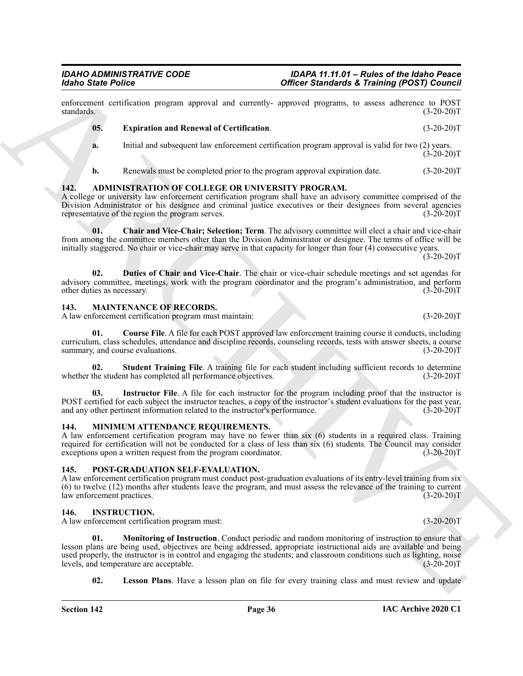enforcement certification program approval and currently- approved programs, to assess adherence to POST standards. (3-20-20) $T$  (3-20-20) $T$ 

# <span id="page-35-11"></span>**05. Expiration and Renewal of Certification**. (3-20-20)T

- **a.** Initial and subsequent law enforcement certification program approval is valid for two (2) years.  $(3-20-20)T$
- <span id="page-35-5"></span>**b.** Renewals must be completed prior to the program approval expiration date.  $(3-20-20)T$

# <span id="page-35-0"></span>**142. ADMINISTRATION OF COLLEGE OR UNIVERSITY PROGRAM.**

A college or university law enforcement certification program shall have an advisory committee comprised of the Division Administrator or his designee and criminal justice executives or their designees from several agencies representative of the region the program serves. (3-20-20)T

<span id="page-35-6"></span>**01. Chair and Vice-Chair; Selection; Term**. The advisory committee will elect a chair and vice-chair from among the committee members other than the Division Administrator or designee. The terms of office will be initially staggered. No chair or vice-chair may serve in that capacity for longer than four (4) consecutive years.

 $(3-20-20)T$ 

<span id="page-35-7"></span>**02. Duties of Chair and Vice-Chair**. The chair or vice-chair schedule meetings and set agendas for advisory committee, meetings, work with the program coordinator and the program's administration, and perform other duties as necessary. (3-20-20)T other duties as necessary.

### <span id="page-35-12"></span><span id="page-35-1"></span>**143. MAINTENANCE OF RECORDS.**

A law enforcement certification program must maintain: (3-20-20)T

<span id="page-35-13"></span>**01. Course File**. A file for each POST approved law enforcement training course it conducts, including curriculum, class schedules, attendance and discipline records, counseling records, tests with answer sheets, a course summary, and course evaluations. (3-20-20)T

<span id="page-35-15"></span>**02. Student Training File**. A training file for each student including sufficient records to determine whether the student has completed all performance objectives. (3-20-20)T

<span id="page-35-14"></span>**03. Instructor File**. A file for each instructor for the program including proof that the instructor is POST certified for each subject the instructor teaches, a copy of the instructor's student evaluations for the past year, and any other pertinent information related to the instructor's performance. (3-20-20) and any other pertinent information related to the instructor's performance.

### <span id="page-35-16"></span><span id="page-35-2"></span>**144. MINIMUM ATTENDANCE REQUIREMENTS.**

A law enforcement certification program may have no fewer than six (6) students in a required class. Training required for certification will not be conducted for a class of less than six (6) students. The Council may consider exceptions upon a written request from the program coordinator. (3-20-20)T

### <span id="page-35-17"></span><span id="page-35-3"></span>**145. POST-GRADUATION SELF-EVALUATION.**

A law enforcement certification program must conduct post-graduation evaluations of its entry-level training from six (6) to twelve (12) months after students leave the program, and must assess the relevance of the training to current law enforcement practices. (3-20-20)T

### <span id="page-35-8"></span><span id="page-35-4"></span>**146. INSTRUCTION.**

A law enforcement certification program must: (3-20-20)T

**EXAMPLE POINT COMPUTER CONTROLL CONTROLL CONTROLL CONTROLL CONTROLL CONTROLL CONTROLL CONTROLL CONTROLL CONTROLL CONTROLL CONTROLL CONTROLL CONTROLL CONTROLL CONTROLL CONTROLL CONTROLL CONTROLL CONTROLL CONTROLL CONTROLL Monitoring of Instruction**. Conduct periodic and random monitoring of instruction to ensure that lesson plans are being used, objectives are being addressed, appropriate instructional aids are available and being used properly, the instructor is in control and engaging the students; and classroom conditions such as lighting, noise<br>levels, and temperature are acceptable. (3-20-20) levels, and temperature are acceptable.

<span id="page-35-10"></span><span id="page-35-9"></span>**02.** Lesson Plans. Have a lesson plan on file for every training class and must review and update

*Officer Standards & Training (POST) Council*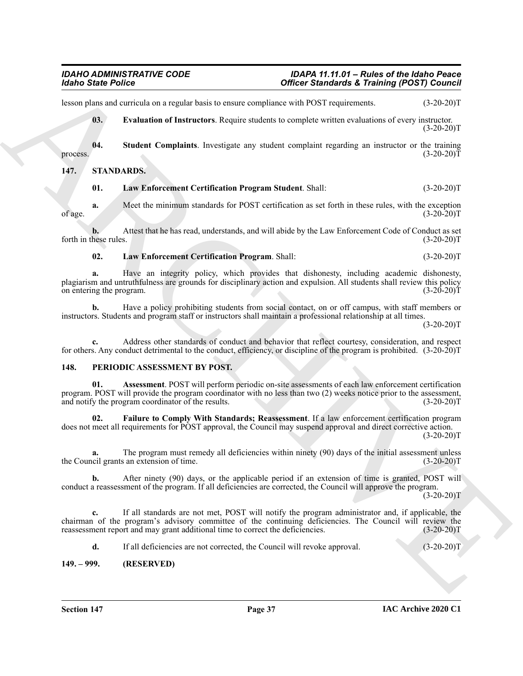lesson plans and curricula on a regular basis to ensure compliance with POST requirements. (3-20-20)T

<span id="page-36-4"></span><span id="page-36-3"></span>**03. Evaluation of Instructors**. Require students to complete written evaluations of every instructor.  $(3-20-20)T$ 

**04.** Student Complaints. Investigate any student complaint regarding an instructor or the training (3-20-20) process.  $(3-20-20)T$ 

### <span id="page-36-0"></span>**147. STANDARDS.**

<span id="page-36-8"></span>**01. Law Enforcement Certification Program Student**. Shall: (3-20-20)T

**a.** Meet the minimum standards for POST certification as set forth in these rules, with the exception of age.  $(3-20-20)T$ 

**b.** Attest that he has read, understands, and will abide by the Law Enforcement Code of Conduct as set hese rules. (3-20-20) forth in these rules.

### **02. Law Enforcement Certification Program**. Shall: (3-20-20)T

Monito State Polices<br>
1978 of States States of the States States of the States States of the States States of the States Control of the States Control of the States Control of the States Control of the States Control of t **a.** Have an integrity policy, which provides that dishonesty, including academic dishonesty, plagiarism and untruthfulness are grounds for disciplinary action and expulsion. All students shall review this policy<br>on entering the program. (3-20-20) on entering the program.

**b.** Have a policy prohibiting students from social contact, on or off campus, with staff members or instructors. Students and program staff or instructors shall maintain a professional relationship at all times.

 $(3-20-20)T$ 

**c.** Address other standards of conduct and behavior that reflect courtesy, consideration, and respect for others. Any conduct detrimental to the conduct, efficiency, or discipline of the program is prohibited. (3-20-20)T

### <span id="page-36-5"></span><span id="page-36-1"></span>**148. PERIODIC ASSESSMENT BY POST.**

<span id="page-36-6"></span>**01. Assessment**. POST will perform periodic on-site assessments of each law enforcement certification program. POST will provide the program coordinator with no less than two (2) weeks notice prior to the assessment, and notify the program coordinator of the results. (3-20-20)T

<span id="page-36-7"></span>**02. Failure to Comply With Standards; Reassessment**. If a law enforcement certification program does not meet all requirements for POST approval, the Council may suspend approval and direct corrective action.  $(3-20-20)T$ 

**a.** The program must remedy all deficiencies within ninety (90) days of the initial assessment unless the Council grants an extension of time. (3-20-20)T

**b.** After ninety (90) days, or the applicable period if an extension of time is granted, POST will conduct a reassessment of the program. If all deficiencies are corrected, the Council will approve the program.  $(3-20-20)$ T

**c.** If all standards are not met, POST will notify the program administrator and, if applicable, the chairman of the program's advisory committee of the continuing deficiencies. The Council will review the reassessment report and may grant additional time to correct the deficiencies. (3-20-20)T

**d.** If all deficiencies are not corrected, the Council will revoke approval. (3-20-20)

### <span id="page-36-2"></span>**149. – 999. (RESERVED)**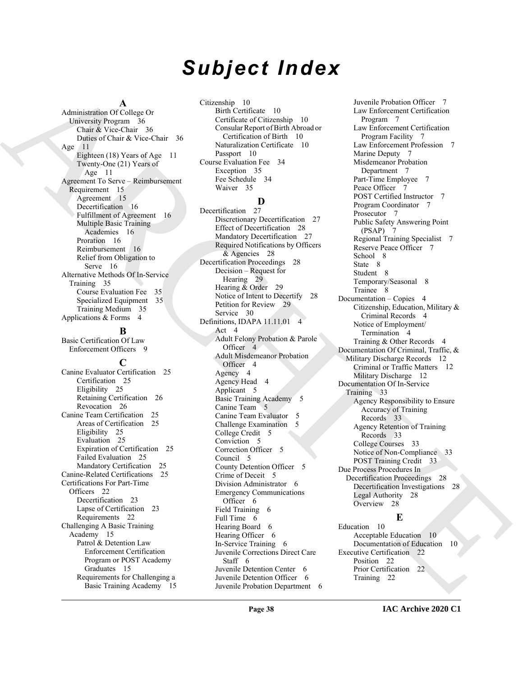# *Subject Index*

#### **A**

Administration Of College Or University Program 36 Chair & Vice-Chair 36 Duties of Chair & Vice-Chair 36 Age 11 Eighteen (18) Years of Age 11 Twenty-One (21) Years of Age 11 Agreement To Serve – Reimbursement Requirement 15 Agreement 15 Decertification 16 Fulfillment of Agreement 16 Multiple Basic Training Academies 16 Proration 16 Reimbursement 16 Relief from Obligation to Serve 16 Alternative Methods Of In-Service Training 35 Course Evaluation Fee 35 Specialized Equipment 35 Training Medium 35 Applications & Forms 4

# **B**

Basic Certification Of Law Enforcement Officers 9

### **C**

Canine Evaluator Certification 25 Certification 25 Eligibility 25 Retaining Certification 26 Revocation 26 Canine Team Certification 25 Areas of Certification 25 Eligibility 25 Evaluation 25 Expiration of Certification 25 Failed Evaluation 25 Mandatory Certification 25 Canine-Related Certifications 25 Certifications For Part-Time Officers 22 Decertification 23 Lapse of Certification 23 Requirements 22 Challenging A Basic Training Academy 15 Patrol & Detention Law Enforcement Certification Program or POST Academy Graduates 15 Requirements for Challenging a Basic Training Academy 15 Citizenship 10 Birth Certificate 10 Certificate of Citizenship 10 Consular Report of Birth Abroad or Certification of Birth 10 Naturalization Certificate 10 Passport 10 Course Evaluation Fee 34 Exception 35 Fee Schedule 34 Waiver 35

# **D**

Decertification 27 Discretionary Decertification 27 Effect of Decertification 28 Mandatory Decertification 27 Required Notifications by Officers & Agencies 28 Decertification Proceedings 28 Decision – Request for Hearing 29 Hearing & Order 29 Notice of Intent to Decertify 28 Petition for Review 29 Service 30 Definitions, IDAPA 11.11.01 4 Act 4 Adult Felony Probation & Parole Officer<sub>4</sub> Adult Misdemeanor Probation Officer 4 Agency 4 Agency Head 4 Applicant 5 Basic Training Academy 5 Canine Team 5 Canine Team Evaluator 5 Challenge Examination 5 College Credit 5 Conviction 5 Correction Officer 5 Council 5 County Detention Officer 5 Crime of Deceit 5 Division Administrator 6 Emergency Communications Officer 6 Field Training 6 Full Time 6 Hearing Board 6 Hearing Officer 6 In-Service Training 6 Juvenile Corrections Direct Care Staff 6 Juvenile Detention Center 6 Juvenile Detention Officer 6 Juvenile Probation Department 6

[AR](#page-14-2)[C](#page-27-3)[H](#page-3-11)[IV](#page-32-3)[E](#page-27-6) Juvenile Probation Officer 7 Law Enforcement Certification Program 7 Law Enforcement Certification Program Facility 7 Law Enforcement Profession 7 Marine Deputy 7 Misdemeanor Probation Department 7 Part-Time Employee 7 Peace Officer 7 POST Certified Instructor 7 Program Coordinator 7 Prosecutor 7 Public Safety Answering Point (PSAP) 7 Regional Training Specialist 7 Reserve Peace Officer 7 School 8 State 8 Student 8 Temporary/Seasonal 8 Trainee 8 Documentation – Copies 4 Citizenship, Education, Military & Criminal Records 4 Notice of Employment/ Termination 4 Training & Other Records 4 Documentation Of Criminal, Traffic, & Military Discharge Records 12 Criminal or Traffic Matters 12 Military Discharge 12 Documentation Of In-Service Training 33 Agency Responsibility to Ensure Accuracy of Training Records 33 Agency Retention of Training Records 33 College Courses 33 Notice of Non-Compliance 33 POST Training Credit 33 Due Process Procedures In Decertification Proceedings 28 Decertification Investigations 28 Legal Authority 28 Overview 28

# **E**

Education 10 Acceptable Education 10 Documentation of Education 10 Executive Certification 22 Position 22 Prior Certification 22 Training 22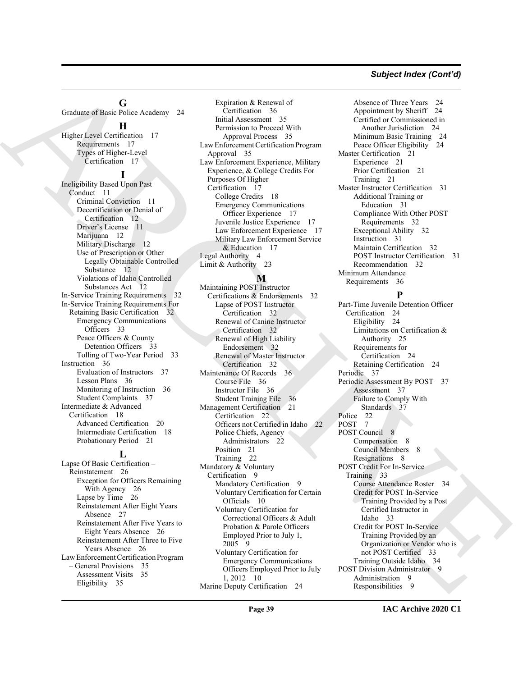#### *Subject Index (Cont'd)*

**G**

Graduate of Basic Police Academy 24

#### **H**

Higher Level Certification 17 Requirements 17 Types of Higher-Level Certification 17

# **I**

Ineligibility Based Upon Past Conduct 11 Criminal Conviction 11 Decertification or Denial of Certification 12 Driver's License 11 Marijuana 12 Military Discharge 12 Use of Prescription or Other Legally Obtainable Controlled Substance 12 Violations of Idaho Controlled Substances Act 12 In-Service Training Requirements 32 In-Service Training Requirements For Retaining Basic Certification 32 Emergency Communications Officers 33 Peace Officers & County Detention Officers 33 Tolling of Two-Year Period 33 Instruction 36 Evaluation of Instructors 37 Lesson Plans 36 Monitoring of Instruction 36 Student Complaints 37 Intermediate & Advanced Certification 18 Advanced Certification 20 Intermediate Certification 18 Probationary Period 21

### **L**

Lapse Of Basic Certification – Reinstatement 26 Exception for Officers Remaining With Agency 26 Lapse by Time 26 Reinstatement After Eight Years Absence 27 Reinstatement After Five Years to Eight Years Absence 26 Reinstatement After Three to Five Years Absence 26 Law Enforcement Certification Program – General Provisions 35 Assessment Visits 35 Eligibility 35

Expiration & Renewal of Certification 36 Initial Assessment 35 Permission to Proceed With Approval Process 35 Law Enforcement Certification Program Approval 35 Law Enforcement Experience, Military Experience, & College Credits For Purposes Of Higher Certification 17 College Credits 18 Emergency Communications Officer Experience 17 Juvenile Justice Experience 17 Law Enforcement Experience 17 Military Law Enforcement Service & Education 17 Legal Authority 4 Limit & Authority 23

#### **M**

[A](#page-16-5)[R](#page-11-8)[CH](#page-31-9)[I](#page-36-7)[V](#page-32-12)[E](#page-32-13) Maintaining POST Instructor Certifications & Endorsements 32 Lapse of POST Instructor Certification 32 Renewal of Canine Instructor Certification 32 Renewal of High Liability Endorsement 32 Renewal of Master Instructor Certification 32 Maintenance Of Records 36 Course File 36 Instructor File 36 Student Training File 36 Management Certification 21 Certification 22 Officers not Certified in Idaho 22 Police Chiefs, Agency Administrators 22 Position 21 Training 22 Mandatory & Voluntary Certification 9 Mandatory Certification 9 Voluntary Certification for Certain Officials 10 Voluntary Certification for Correctional Officers & Adult Probation & Parole Officers Employed Prior to July 1,  $2005 - 9$ Voluntary Certification for Emergency Communications Officers Employed Prior to July 1, 2012 10

Absence of Three Years 24 Appointment by Sheriff 24 Certified or Commissioned in Another Jurisdiction 24 Minimum Basic Training 24 Peace Officer Eligibility 24 Master Certification 21 Experience 21 Prior Certification 21 Training 21 Master Instructor Certification 31 Additional Training or Education 31 Compliance With Other POST Requirements 32 Exceptional Ability 32 Instruction 31 Maintain Certification 32 POST Instructor Certification 31 Recommendation 32 Minimum Attendance Requirements 36

#### **P**

Part-Time Juvenile Detention Officer Certification 24 Eligibility 24 Limitations on Certification & Authority 25 Requirements for Certification 24 Retaining Certification 24 Periodic 37 Periodic Assessment By POST 37 Assessment 37 Failure to Comply With Standards 37 Police 22 POST<sub>7</sub> POST Council 8 Compensation 8 Council Members Resignations 8 POST Credit For In-Service Training 33 Course Attendance Roster 34 Credit for POST In-Service Training Provided by a Post Certified Instructor in Idaho 33 Credit for POST In-Service Training Provided by an Organization or Vendor who is not POST Certified 33 Training Outside Idaho 34 POST Division Administrator 9 Administration 9 Responsibilities 9

Marine Deputy Certification 24